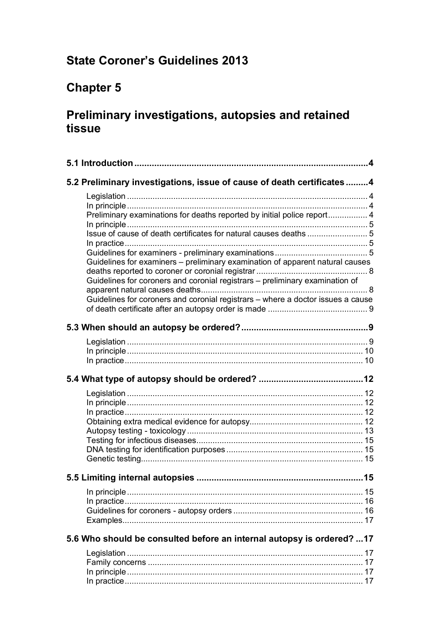# **State Coroner's Guidelines 2013**

# **Chapter 5**

# **Preliminary investigations, autopsies and retained tissue**

| 5.2 Preliminary investigations, issue of cause of death certificates 4          |
|---------------------------------------------------------------------------------|
|                                                                                 |
|                                                                                 |
| Preliminary examinations for deaths reported by initial police report 4         |
|                                                                                 |
|                                                                                 |
| Guidelines for examiners – preliminary examination of apparent natural causes   |
| Guidelines for coroners and coronial registrars - preliminary examination of    |
| Guidelines for coroners and coronial registrars - where a doctor issues a cause |
|                                                                                 |
|                                                                                 |
|                                                                                 |
|                                                                                 |
|                                                                                 |
|                                                                                 |
|                                                                                 |
|                                                                                 |
|                                                                                 |
|                                                                                 |
|                                                                                 |
|                                                                                 |
|                                                                                 |
|                                                                                 |
|                                                                                 |
|                                                                                 |
|                                                                                 |
|                                                                                 |
|                                                                                 |
| 5.6 Who should be consulted before an internal autopsy is ordered?  17          |
|                                                                                 |
|                                                                                 |
|                                                                                 |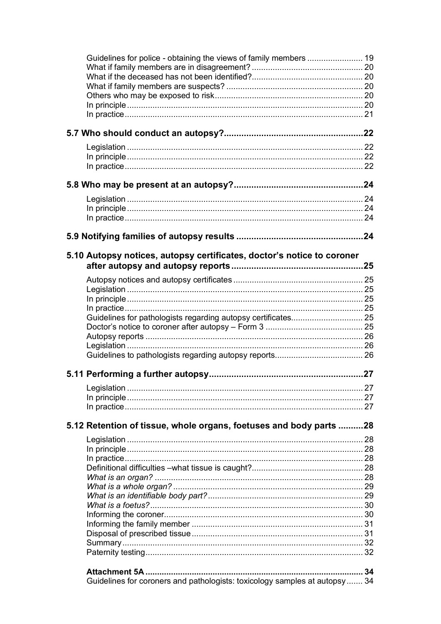| 5.10 Autopsy notices, autopsy certificates, doctor's notice to coroner      |  |
|-----------------------------------------------------------------------------|--|
|                                                                             |  |
|                                                                             |  |
|                                                                             |  |
|                                                                             |  |
|                                                                             |  |
|                                                                             |  |
|                                                                             |  |
|                                                                             |  |
|                                                                             |  |
|                                                                             |  |
|                                                                             |  |
|                                                                             |  |
|                                                                             |  |
|                                                                             |  |
|                                                                             |  |
| 5.12 Retention of tissue, whole organs, foetuses and body parts  28         |  |
|                                                                             |  |
|                                                                             |  |
|                                                                             |  |
|                                                                             |  |
|                                                                             |  |
|                                                                             |  |
|                                                                             |  |
|                                                                             |  |
|                                                                             |  |
|                                                                             |  |
|                                                                             |  |
|                                                                             |  |
|                                                                             |  |
|                                                                             |  |
| Guidelines for coroners and pathologists: toxicology samples at autopsy  34 |  |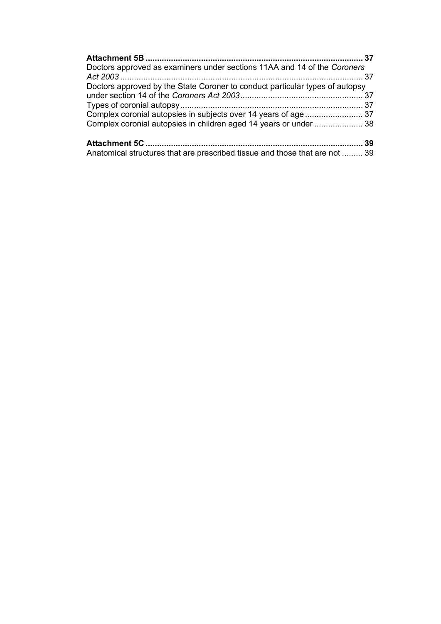| Doctors approved as examiners under sections 11AA and 14 of the Coroners     |    |
|------------------------------------------------------------------------------|----|
|                                                                              |    |
| Doctors approved by the State Coroner to conduct particular types of autopsy |    |
|                                                                              |    |
|                                                                              |    |
|                                                                              |    |
| Complex coronial autopsies in children aged 14 years or under  38            |    |
|                                                                              | 39 |
| Anatomical structures that are prescribed tissue and those that are not  39  |    |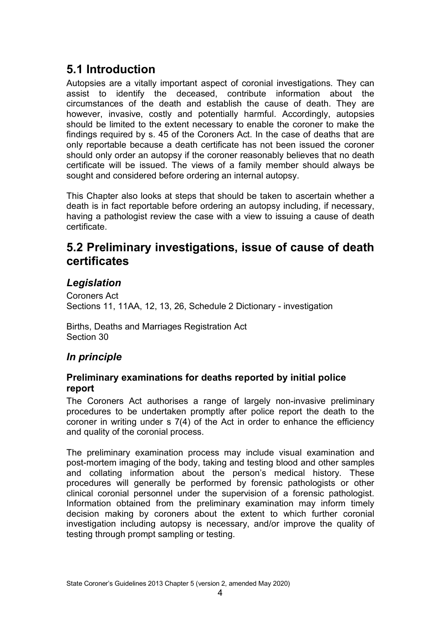# <span id="page-3-0"></span>**5.1 Introduction**

Autopsies are a vitally important aspect of coronial investigations. They can assist to identify the deceased, contribute information about the circumstances of the death and establish the cause of death. They are however, invasive, costly and potentially harmful. Accordingly, autopsies should be limited to the extent necessary to enable the coroner to make the findings required by s. 45 of the Coroners Act. In the case of deaths that are only reportable because a death certificate has not been issued the coroner should only order an autopsy if the coroner reasonably believes that no death certificate will be issued. The views of a family member should always be sought and considered before ordering an internal autopsy.

This Chapter also looks at steps that should be taken to ascertain whether a death is in fact reportable before ordering an autopsy including, if necessary, having a pathologist review the case with a view to issuing a cause of death certificate.

# <span id="page-3-1"></span>**5.2 Preliminary investigations, issue of cause of death certificates**

# <span id="page-3-2"></span>*Legislation*

Coroners Act Sections 11, 11AA, 12, 13, 26, Schedule 2 Dictionary - investigation

Births, Deaths and Marriages Registration Act Section 30

# <span id="page-3-3"></span>*In principle*

#### <span id="page-3-4"></span>**Preliminary examinations for deaths reported by initial police report**

The Coroners Act authorises a range of largely non-invasive preliminary procedures to be undertaken promptly after police report the death to the coroner in writing under s 7(4) of the Act in order to enhance the efficiency and quality of the coronial process.

The preliminary examination process may include visual examination and post-mortem imaging of the body, taking and testing blood and other samples and collating information about the person's medical history. These procedures will generally be performed by forensic pathologists or other clinical coronial personnel under the supervision of a forensic pathologist. Information obtained from the preliminary examination may inform timely decision making by coroners about the extent to which further coronial investigation including autopsy is necessary, and/or improve the quality of testing through prompt sampling or testing.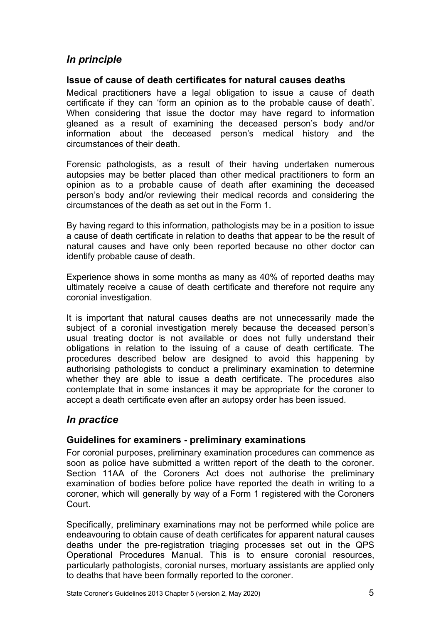# <span id="page-4-0"></span>*In principle*

#### <span id="page-4-1"></span>**Issue of cause of death certificates for natural causes deaths**

Medical practitioners have a legal obligation to issue a cause of death certificate if they can 'form an opinion as to the probable cause of death'. When considering that issue the doctor may have regard to information gleaned as a result of examining the deceased person's body and/or information about the deceased person's medical history and the circumstances of their death.

Forensic pathologists, as a result of their having undertaken numerous autopsies may be better placed than other medical practitioners to form an opinion as to a probable cause of death after examining the deceased person's body and/or reviewing their medical records and considering the circumstances of the death as set out in the Form 1.

By having regard to this information, pathologists may be in a position to issue a cause of death certificate in relation to deaths that appear to be the result of natural causes and have only been reported because no other doctor can identify probable cause of death.

Experience shows in some months as many as 40% of reported deaths may ultimately receive a cause of death certificate and therefore not require any coronial investigation.

It is important that natural causes deaths are not unnecessarily made the subject of a coronial investigation merely because the deceased person's usual treating doctor is not available or does not fully understand their obligations in relation to the issuing of a cause of death certificate. The procedures described below are designed to avoid this happening by authorising pathologists to conduct a preliminary examination to determine whether they are able to issue a death certificate. The procedures also contemplate that in some instances it may be appropriate for the coroner to accept a death certificate even after an autopsy order has been issued.

### <span id="page-4-2"></span>*In practice*

#### <span id="page-4-3"></span>**Guidelines for examiners - preliminary examinations**

For coronial purposes, preliminary examination procedures can commence as soon as police have submitted a written report of the death to the coroner. Section 11AA of the Coroners Act does not authorise the preliminary examination of bodies before police have reported the death in writing to a coroner, which will generally by way of a Form 1 registered with the Coroners Court.

Specifically, preliminary examinations may not be performed while police are endeavouring to obtain cause of death certificates for apparent natural causes deaths under the pre-registration triaging processes set out in the QPS Operational Procedures Manual. This is to ensure coronial resources, particularly pathologists, coronial nurses, mortuary assistants are applied only to deaths that have been formally reported to the coroner.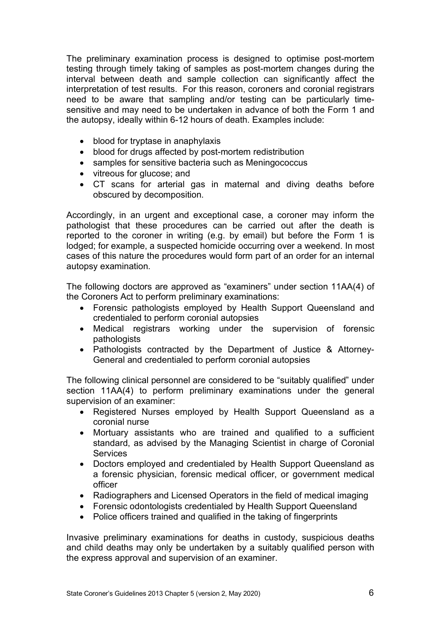The preliminary examination process is designed to optimise post-mortem testing through timely taking of samples as post-mortem changes during the interval between death and sample collection can significantly affect the interpretation of test results. For this reason, coroners and coronial registrars need to be aware that sampling and/or testing can be particularly timesensitive and may need to be undertaken in advance of both the Form 1 and the autopsy, ideally within 6-12 hours of death. Examples include:

- blood for tryptase in anaphylaxis
- blood for drugs affected by post-mortem redistribution
- samples for sensitive bacteria such as Meningococcus
- vitreous for glucose; and
- CT scans for arterial gas in maternal and diving deaths before obscured by decomposition.

Accordingly, in an urgent and exceptional case, a coroner may inform the pathologist that these procedures can be carried out after the death is reported to the coroner in writing (e.g. by email) but before the Form 1 is lodged; for example, a suspected homicide occurring over a weekend. In most cases of this nature the procedures would form part of an order for an internal autopsy examination.

The following doctors are approved as "examiners" under section 11AA(4) of the Coroners Act to perform preliminary examinations:

- Forensic pathologists employed by Health Support Queensland and credentialed to perform coronial autopsies
- Medical registrars working under the supervision of forensic pathologists
- Pathologists contracted by the Department of Justice & Attorney-General and credentialed to perform coronial autopsies

The following clinical personnel are considered to be "suitably qualified" under section 11AA(4) to perform preliminary examinations under the general supervision of an examiner:

- Registered Nurses employed by Health Support Queensland as a coronial nurse
- Mortuary assistants who are trained and qualified to a sufficient standard, as advised by the Managing Scientist in charge of Coronial **Services**
- Doctors employed and credentialed by Health Support Queensland as a forensic physician, forensic medical officer, or government medical officer
- Radiographers and Licensed Operators in the field of medical imaging
- Forensic odontologists credentialed by Health Support Queensland
- Police officers trained and qualified in the taking of fingerprints

Invasive preliminary examinations for deaths in custody, suspicious deaths and child deaths may only be undertaken by a suitably qualified person with the express approval and supervision of an examiner.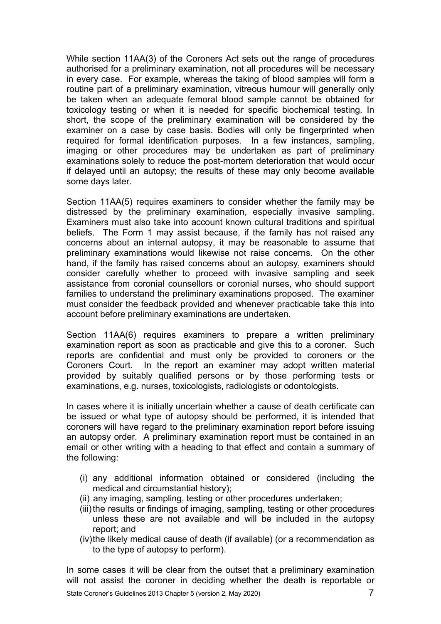While section 11AA(3) of the Coroners Act sets out the range of procedures authorised for a preliminary examination, not all procedures will be necessary in every case. For example, whereas the taking of blood samples will form a routine part of a preliminary examination, vitreous humour will generally only be taken when an adequate femoral blood sample cannot be obtained for toxicology testing or when it is needed for specific biochemical testing. In short, the scope of the preliminary examination will be considered by the examiner on a case by case basis. Bodies will only be fingerprinted when required for formal identification purposes. In a few instances, sampling, imaging or other procedures may be undertaken as part of preliminary examinations solely to reduce the post-mortem deterioration that would occur if delayed until an autopsy; the results of these may only become available some days later.

Section 11AA(5) requires examiners to consider whether the family may be distressed by the preliminary examination, especially invasive sampling. Examiners must also take into account known cultural traditions and spiritual beliefs. The Form 1 may assist because, if the family has not raised any concerns about an internal autopsy, it may be reasonable to assume that preliminary examinations would likewise not raise concerns. On the other hand, if the family has raised concerns about an autopsy, examiners should consider carefully whether to proceed with invasive sampling and seek assistance from coronial counsellors or coronial nurses, who should support families to understand the preliminary examinations proposed. The examiner must consider the feedback provided and whenever practicable take this into account before preliminary examinations are undertaken.

Section 11AA(6) requires examiners to prepare a written preliminary examination report as soon as practicable and give this to a coroner. Such reports are confidential and must only be provided to coroners or the Coroners Court. In the report an examiner may adopt written material provided by suitably qualified persons or by those performing tests or examinations, e.g. nurses, toxicologists, radiologists or odontologists.

In cases where it is initially uncertain whether a cause of death certificate can be issued or what type of autopsy should be performed, it is intended that coroners will have regard to the preliminary examination report before issuing an autopsy order. A preliminary examination report must be contained in an email or other writing with a heading to that effect and contain a summary of the following:

- (i) any additional information obtained or considered (including the medical and circumstantial history);
- (ii) any imaging, sampling, testing or other procedures undertaken;
- (iii) the results or findings of imaging, sampling, testing or other procedures unless these are not available and will be included in the autopsy report; and
- (iv)the likely medical cause of death (if available) (or a recommendation as to the type of autopsy to perform).

In some cases it will be clear from the outset that a preliminary examination will not assist the coroner in deciding whether the death is reportable or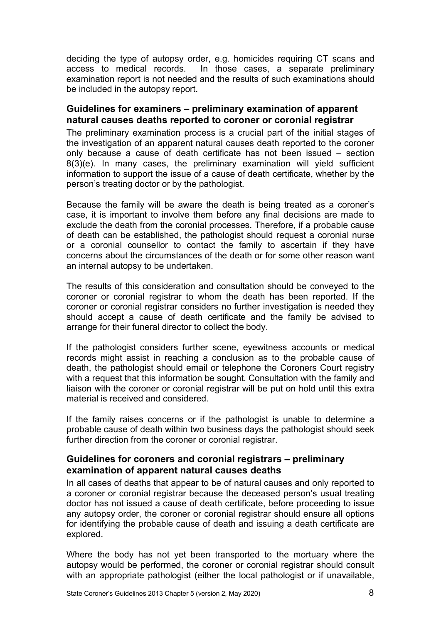deciding the type of autopsy order, e.g. homicides requiring CT scans and access to medical records. In those cases, a separate preliminary examination report is not needed and the results of such examinations should be included in the autopsy report.

#### <span id="page-7-0"></span>**Guidelines for examiners – preliminary examination of apparent natural causes deaths reported to coroner or coronial registrar**

The preliminary examination process is a crucial part of the initial stages of the investigation of an apparent natural causes death reported to the coroner only because a cause of death certificate has not been issued – section 8(3)(e). In many cases, the preliminary examination will yield sufficient information to support the issue of a cause of death certificate, whether by the person's treating doctor or by the pathologist.

Because the family will be aware the death is being treated as a coroner's case, it is important to involve them before any final decisions are made to exclude the death from the coronial processes. Therefore, if a probable cause of death can be established, the pathologist should request a coronial nurse or a coronial counsellor to contact the family to ascertain if they have concerns about the circumstances of the death or for some other reason want an internal autopsy to be undertaken.

The results of this consideration and consultation should be conveyed to the coroner or coronial registrar to whom the death has been reported. If the coroner or coronial registrar considers no further investigation is needed they should accept a cause of death certificate and the family be advised to arrange for their funeral director to collect the body.

If the pathologist considers further scene, eyewitness accounts or medical records might assist in reaching a conclusion as to the probable cause of death, the pathologist should email or telephone the Coroners Court registry with a request that this information be sought. Consultation with the family and liaison with the coroner or coronial registrar will be put on hold until this extra material is received and considered.

If the family raises concerns or if the pathologist is unable to determine a probable cause of death within two business days the pathologist should seek further direction from the coroner or coronial registrar.

#### <span id="page-7-1"></span>**Guidelines for coroners and coronial registrars – preliminary examination of apparent natural causes deaths**

In all cases of deaths that appear to be of natural causes and only reported to a coroner or coronial registrar because the deceased person's usual treating doctor has not issued a cause of death certificate, before proceeding to issue any autopsy order, the coroner or coronial registrar should ensure all options for identifying the probable cause of death and issuing a death certificate are explored.

Where the body has not yet been transported to the mortuary where the autopsy would be performed, the coroner or coronial registrar should consult with an appropriate pathologist (either the local pathologist or if unavailable,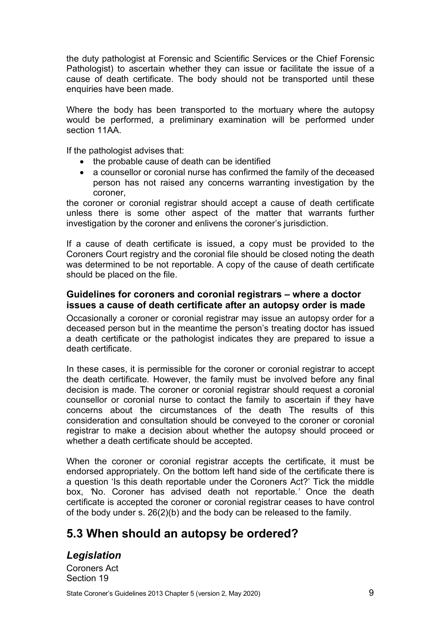the duty pathologist at Forensic and Scientific Services or the Chief Forensic Pathologist) to ascertain whether they can issue or facilitate the issue of a cause of death certificate. The body should not be transported until these enquiries have been made.

Where the body has been transported to the mortuary where the autopsy would be performed, a preliminary examination will be performed under section 11AA

If the pathologist advises that:

- the probable cause of death can be identified
- a counsellor or coronial nurse has confirmed the family of the deceased person has not raised any concerns warranting investigation by the coroner,

the coroner or coronial registrar should accept a cause of death certificate unless there is some other aspect of the matter that warrants further investigation by the coroner and enlivens the coroner's jurisdiction.

If a cause of death certificate is issued, a copy must be provided to the Coroners Court registry and the coronial file should be closed noting the death was determined to be not reportable. A copy of the cause of death certificate should be placed on the file.

#### <span id="page-8-0"></span>**Guidelines for coroners and coronial registrars – where a doctor issues a cause of death certificate after an autopsy order is made**

Occasionally a coroner or coronial registrar may issue an autopsy order for a deceased person but in the meantime the person's treating doctor has issued a death certificate or the pathologist indicates they are prepared to issue a death certificate.

In these cases, it is permissible for the coroner or coronial registrar to accept the death certificate. However, the family must be involved before any final decision is made. The coroner or coronial registrar should request a coronial counsellor or coronial nurse to contact the family to ascertain if they have concerns about the circumstances of the death The results of this consideration and consultation should be conveyed to the coroner or coronial registrar to make a decision about whether the autopsy should proceed or whether a death certificate should be accepted.

When the coroner or coronial registrar accepts the certificate, it must be endorsed appropriately. On the bottom left hand side of the certificate there is a question 'Is this death reportable under the Coroners Act?' Tick the middle box, *'*No. Coroner has advised death not reportable*.'* Once the death certificate is accepted the coroner or coronial registrar ceases to have control of the body under s. 26(2)(b) and the body can be released to the family.

# <span id="page-8-1"></span>**5.3 When should an autopsy be ordered?**

# <span id="page-8-2"></span>*Legislation*

Coroners Act Section 19

State Coroner's Guidelines 2013 Chapter 5 (version 2, May 2020) 9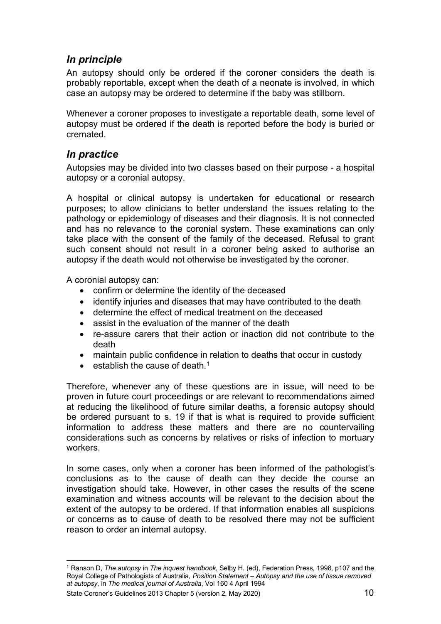# <span id="page-9-0"></span>*In principle*

An autopsy should only be ordered if the coroner considers the death is probably reportable, except when the death of a neonate is involved, in which case an autopsy may be ordered to determine if the baby was stillborn.

Whenever a coroner proposes to investigate a reportable death, some level of autopsy must be ordered if the death is reported before the body is buried or cremated.

### <span id="page-9-1"></span>*In practice*

Autopsies may be divided into two classes based on their purpose - a hospital autopsy or a coronial autopsy.

A hospital or clinical autopsy is undertaken for educational or research purposes; to allow clinicians to better understand the issues relating to the pathology or epidemiology of diseases and their diagnosis. It is not connected and has no relevance to the coronial system. These examinations can only take place with the consent of the family of the deceased. Refusal to grant such consent should not result in a coroner being asked to authorise an autopsy if the death would not otherwise be investigated by the coroner.

A coronial autopsy can:

- confirm or determine the identity of the deceased
- identify injuries and diseases that may have contributed to the death
- determine the effect of medical treatment on the deceased
- assist in the evaluation of the manner of the death
- re-assure carers that their action or inaction did not contribute to the death
- maintain public confidence in relation to deaths that occur in custody
- $\bullet$  establish the cause of death.<sup>[1](#page-9-2)</sup>

Therefore, whenever any of these questions are in issue, will need to be proven in future court proceedings or are relevant to recommendations aimed at reducing the likelihood of future similar deaths, a forensic autopsy should be ordered pursuant to s. 19 if that is what is required to provide sufficient information to address these matters and there are no countervailing considerations such as concerns by relatives or risks of infection to mortuary workers.

In some cases, only when a coroner has been informed of the pathologist's conclusions as to the cause of death can they decide the course an investigation should take. However, in other cases the results of the scene examination and witness accounts will be relevant to the decision about the extent of the autopsy to be ordered. If that information enables all suspicions or concerns as to cause of death to be resolved there may not be sufficient reason to order an internal autopsy.

State Coroner's Guidelines 2013 Chapter 5 (version 2, May 2020) 10 10

<span id="page-9-2"></span><sup>1</sup> Ranson D, *The autopsy* in *The inquest handbook*, Selby H. (ed), Federation Press, 1998, p107 and the Royal College of Pathologists of Australia, *Position Statement – Autopsy and the use of tissue removed at autopsy*, in *The medical journal of Australia*, Vol 160 4 April 1994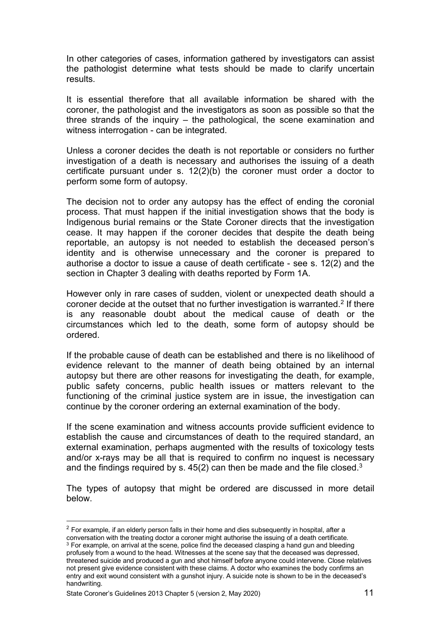In other categories of cases, information gathered by investigators can assist the pathologist determine what tests should be made to clarify uncertain results.

It is essential therefore that all available information be shared with the coroner, the pathologist and the investigators as soon as possible so that the three strands of the inquiry – the pathological, the scene examination and witness interrogation - can be integrated.

Unless a coroner decides the death is not reportable or considers no further investigation of a death is necessary and authorises the issuing of a death certificate pursuant under s. 12(2)(b) the coroner must order a doctor to perform some form of autopsy.

The decision not to order any autopsy has the effect of ending the coronial process. That must happen if the initial investigation shows that the body is Indigenous burial remains or the State Coroner directs that the investigation cease. It may happen if the coroner decides that despite the death being reportable, an autopsy is not needed to establish the deceased person's identity and is otherwise unnecessary and the coroner is prepared to authorise a doctor to issue a cause of death certificate - see s. 12(2) and the section in Chapter 3 dealing with deaths reported by Form 1A.

However only in rare cases of sudden, violent or unexpected death should a coroner decide at the outset that no further investigation is warranted.<sup>[2](#page-10-0)</sup> If there is any reasonable doubt about the medical cause of death or the circumstances which led to the death, some form of autopsy should be ordered.

If the probable cause of death can be established and there is no likelihood of evidence relevant to the manner of death being obtained by an internal autopsy but there are other reasons for investigating the death, for example, public safety concerns, public health issues or matters relevant to the functioning of the criminal justice system are in issue, the investigation can continue by the coroner ordering an external examination of the body.

If the scene examination and witness accounts provide sufficient evidence to establish the cause and circumstances of death to the required standard, an external examination, perhaps augmented with the results of toxicology tests and/or x-rays may be all that is required to confirm no inquest is necessary and the findings required by s.  $45(2)$  can then be made and the file closed.<sup>[3](#page-10-1)</sup>

The types of autopsy that might be ordered are discussed in more detail below.

<span id="page-10-0"></span> $2$  For example, if an elderly person falls in their home and dies subsequently in hospital, after a conversation with the treating doctor a coroner might authorise the issuing of a death certificate.

<span id="page-10-1"></span> $^3$  For example, on arrival at the scene, police find the deceased clasping a hand gun and bleeding profusely from a wound to the head. Witnesses at the scene say that the deceased was depressed, threatened suicide and produced a gun and shot himself before anyone could intervene. Close relatives not present give evidence consistent with these claims. A doctor who examines the body confirms an entry and exit wound consistent with a gunshot injury. A suicide note is shown to be in the deceased's handwriting.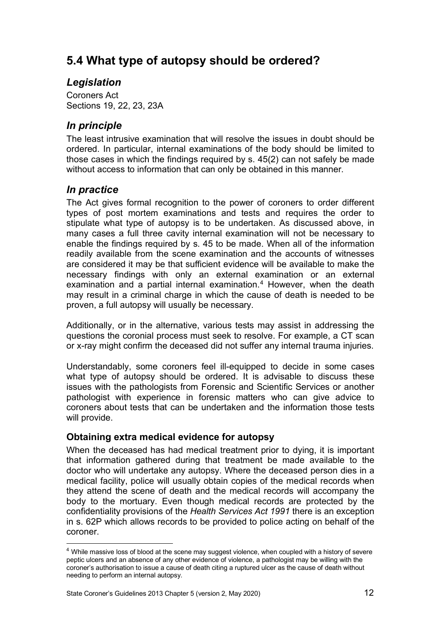# <span id="page-11-0"></span>**5.4 What type of autopsy should be ordered?**

# <span id="page-11-1"></span>*Legislation*

Coroners Act Sections 19, 22, 23, 23A

# <span id="page-11-2"></span>*In principle*

The least intrusive examination that will resolve the issues in doubt should be ordered. In particular, internal examinations of the body should be limited to those cases in which the findings required by s. 45(2) can not safely be made without access to information that can only be obtained in this manner.

### <span id="page-11-3"></span>*In practice*

The Act gives formal recognition to the power of coroners to order different types of post mortem examinations and tests and requires the order to stipulate what type of autopsy is to be undertaken. As discussed above, in many cases a full three cavity internal examination will not be necessary to enable the findings required by s. 45 to be made. When all of the information readily available from the scene examination and the accounts of witnesses are considered it may be that sufficient evidence will be available to make the necessary findings with only an external examination or an external examination and a partial internal examination.<sup>[4](#page-11-5)</sup> However, when the death may result in a criminal charge in which the cause of death is needed to be proven, a full autopsy will usually be necessary.

Additionally, or in the alternative, various tests may assist in addressing the questions the coronial process must seek to resolve. For example, a CT scan or x-ray might confirm the deceased did not suffer any internal trauma injuries.

Understandably, some coroners feel ill-equipped to decide in some cases what type of autopsy should be ordered. It is advisable to discuss these issues with the pathologists from Forensic and Scientific Services or another pathologist with experience in forensic matters who can give advice to coroners about tests that can be undertaken and the information those tests will provide.

### <span id="page-11-4"></span>**Obtaining extra medical evidence for autopsy**

When the deceased has had medical treatment prior to dying, it is important that information gathered during that treatment be made available to the doctor who will undertake any autopsy. Where the deceased person dies in a medical facility, police will usually obtain copies of the medical records when they attend the scene of death and the medical records will accompany the body to the mortuary. Even though medical records are protected by the confidentiality provisions of the *Health Services Act 1991* there is an exception in s. 62P which allows records to be provided to police acting on behalf of the coroner.

<span id="page-11-5"></span><sup>4</sup> While massive loss of blood at the scene may suggest violence, when coupled with a history of severe peptic ulcers and an absence of any other evidence of violence, a pathologist may be willing with the coroner's authorisation to issue a cause of death citing a ruptured ulcer as the cause of death without needing to perform an internal autopsy.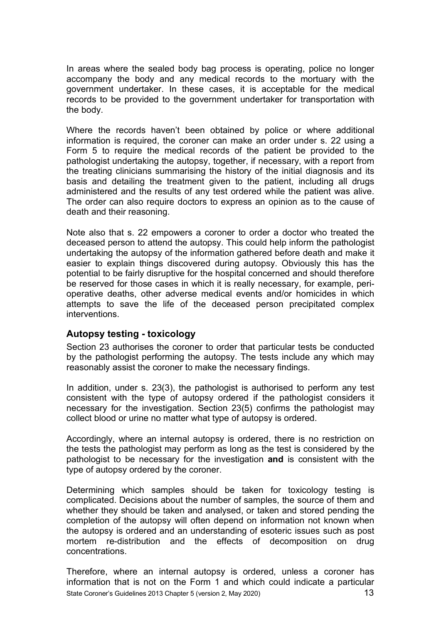In areas where the sealed body bag process is operating, police no longer accompany the body and any medical records to the mortuary with the government undertaker. In these cases, it is acceptable for the medical records to be provided to the government undertaker for transportation with the body.

Where the records haven't been obtained by police or where additional information is required, the coroner can make an order under s. 22 using a Form 5 to require the medical records of the patient be provided to the pathologist undertaking the autopsy, together, if necessary, with a report from the treating clinicians summarising the history of the initial diagnosis and its basis and detailing the treatment given to the patient, including all drugs administered and the results of any test ordered while the patient was alive. The order can also require doctors to express an opinion as to the cause of death and their reasoning.

Note also that s. 22 empowers a coroner to order a doctor who treated the deceased person to attend the autopsy. This could help inform the pathologist undertaking the autopsy of the information gathered before death and make it easier to explain things discovered during autopsy. Obviously this has the potential to be fairly disruptive for the hospital concerned and should therefore be reserved for those cases in which it is really necessary, for example, perioperative deaths, other adverse medical events and/or homicides in which attempts to save the life of the deceased person precipitated complex interventions.

#### <span id="page-12-0"></span>**Autopsy testing - toxicology**

Section 23 authorises the coroner to order that particular tests be conducted by the pathologist performing the autopsy. The tests include any which may reasonably assist the coroner to make the necessary findings.

In addition, under s. 23(3), the pathologist is authorised to perform any test consistent with the type of autopsy ordered if the pathologist considers it necessary for the investigation. Section 23(5) confirms the pathologist may collect blood or urine no matter what type of autopsy is ordered.

Accordingly, where an internal autopsy is ordered, there is no restriction on the tests the pathologist may perform as long as the test is considered by the pathologist to be necessary for the investigation **and** is consistent with the type of autopsy ordered by the coroner.

Determining which samples should be taken for toxicology testing is complicated. Decisions about the number of samples, the source of them and whether they should be taken and analysed, or taken and stored pending the completion of the autopsy will often depend on information not known when the autopsy is ordered and an understanding of esoteric issues such as post mortem re-distribution and the effects of decomposition on drug concentrations.

State Coroner's Guidelines 2013 Chapter 5 (version 2, May 2020) 13 Therefore, where an internal autopsy is ordered, unless a coroner has information that is not on the Form 1 and which could indicate a particular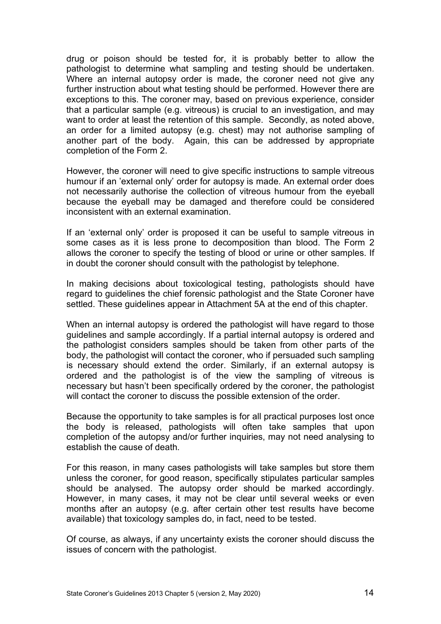drug or poison should be tested for, it is probably better to allow the pathologist to determine what sampling and testing should be undertaken. Where an internal autopsy order is made, the coroner need not give any further instruction about what testing should be performed. However there are exceptions to this. The coroner may, based on previous experience, consider that a particular sample (e.g. vitreous) is crucial to an investigation, and may want to order at least the retention of this sample. Secondly, as noted above, an order for a limited autopsy (e.g. chest) may not authorise sampling of another part of the body. Again, this can be addressed by appropriate completion of the Form 2.

However, the coroner will need to give specific instructions to sample vitreous humour if an 'external only' order for autopsy is made. An external order does not necessarily authorise the collection of vitreous humour from the eyeball because the eyeball may be damaged and therefore could be considered inconsistent with an external examination.

If an 'external only' order is proposed it can be useful to sample vitreous in some cases as it is less prone to decomposition than blood. The Form 2 allows the coroner to specify the testing of blood or urine or other samples. If in doubt the coroner should consult with the pathologist by telephone.

In making decisions about toxicological testing, pathologists should have regard to guidelines the chief forensic pathologist and the State Coroner have settled. These guidelines appear in Attachment 5A at the end of this chapter.

When an internal autopsy is ordered the pathologist will have regard to those guidelines and sample accordingly. If a partial internal autopsy is ordered and the pathologist considers samples should be taken from other parts of the body, the pathologist will contact the coroner, who if persuaded such sampling is necessary should extend the order. Similarly, if an external autopsy is ordered and the pathologist is of the view the sampling of vitreous is necessary but hasn't been specifically ordered by the coroner, the pathologist will contact the coroner to discuss the possible extension of the order.

Because the opportunity to take samples is for all practical purposes lost once the body is released, pathologists will often take samples that upon completion of the autopsy and/or further inquiries, may not need analysing to establish the cause of death.

For this reason, in many cases pathologists will take samples but store them unless the coroner, for good reason, specifically stipulates particular samples should be analysed. The autopsy order should be marked accordingly. However, in many cases, it may not be clear until several weeks or even months after an autopsy (e.g. after certain other test results have become available) that toxicology samples do, in fact, need to be tested.

Of course, as always, if any uncertainty exists the coroner should discuss the issues of concern with the pathologist.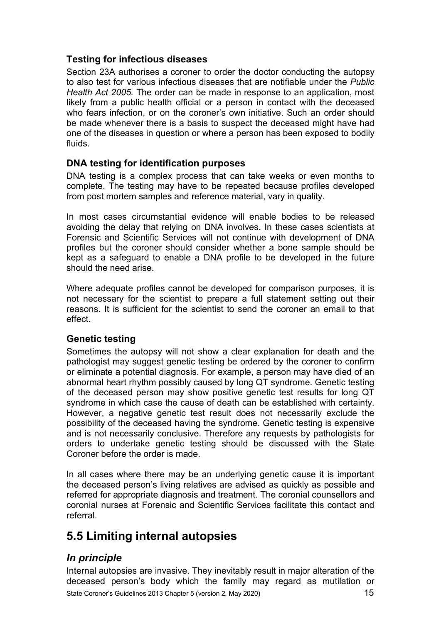#### <span id="page-14-0"></span>**Testing for infectious diseases**

Section 23A authorises a coroner to order the doctor conducting the autopsy to also test for various infectious diseases that are notifiable under the *Public Health Act 2005.* The order can be made in response to an application, most likely from a public health official or a person in contact with the deceased who fears infection, or on the coroner's own initiative. Such an order should be made whenever there is a basis to suspect the deceased might have had one of the diseases in question or where a person has been exposed to bodily fluids.

#### <span id="page-14-1"></span>**DNA testing for identification purposes**

DNA testing is a complex process that can take weeks or even months to complete. The testing may have to be repeated because profiles developed from post mortem samples and reference material, vary in quality.

In most cases circumstantial evidence will enable bodies to be released avoiding the delay that relying on DNA involves. In these cases scientists at Forensic and Scientific Services will not continue with development of DNA profiles but the coroner should consider whether a bone sample should be kept as a safeguard to enable a DNA profile to be developed in the future should the need arise.

Where adequate profiles cannot be developed for comparison purposes, it is not necessary for the scientist to prepare a full statement setting out their reasons. It is sufficient for the scientist to send the coroner an email to that effect.

#### <span id="page-14-2"></span>**Genetic testing**

Sometimes the autopsy will not show a clear explanation for death and the pathologist may suggest genetic testing be ordered by the coroner to confirm or eliminate a potential diagnosis. For example, a person may have died of an abnormal heart rhythm possibly caused by long QT syndrome. Genetic testing of the deceased person may show positive genetic test results for long QT syndrome in which case the cause of death can be established with certainty. However, a negative genetic test result does not necessarily exclude the possibility of the deceased having the syndrome. Genetic testing is expensive and is not necessarily conclusive. Therefore any requests by pathologists for orders to undertake genetic testing should be discussed with the State Coroner before the order is made.

In all cases where there may be an underlying genetic cause it is important the deceased person's living relatives are advised as quickly as possible and referred for appropriate diagnosis and treatment. The coronial counsellors and coronial nurses at Forensic and Scientific Services facilitate this contact and referral.

# <span id="page-14-3"></span>**5.5 Limiting internal autopsies**

# <span id="page-14-4"></span>*In principle*

State Coroner's Guidelines 2013 Chapter 5 (version 2, May 2020) 15 Internal autopsies are invasive. They inevitably result in major alteration of the deceased person's body which the family may regard as mutilation or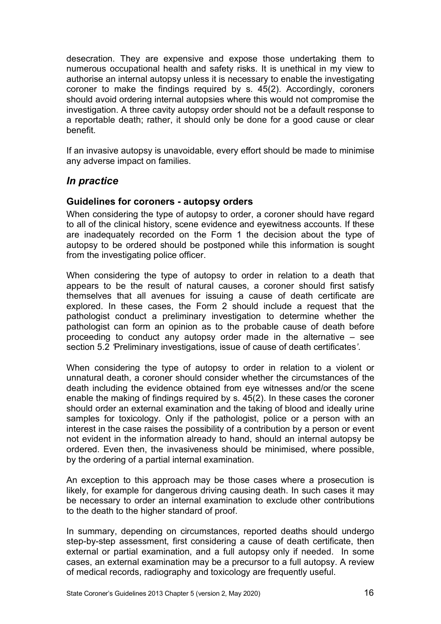desecration. They are expensive and expose those undertaking them to numerous occupational health and safety risks. It is unethical in my view to authorise an internal autopsy unless it is necessary to enable the investigating coroner to make the findings required by s. 45(2). Accordingly, coroners should avoid ordering internal autopsies where this would not compromise the investigation. A three cavity autopsy order should not be a default response to a reportable death; rather, it should only be done for a good cause or clear benefit.

If an invasive autopsy is unavoidable, every effort should be made to minimise any adverse impact on families.

#### <span id="page-15-0"></span>*In practice*

#### <span id="page-15-1"></span>**Guidelines for coroners - autopsy orders**

When considering the type of autopsy to order, a coroner should have regard to all of the clinical history, scene evidence and eyewitness accounts. If these are inadequately recorded on the Form 1 the decision about the type of autopsy to be ordered should be postponed while this information is sought from the investigating police officer.

When considering the type of autopsy to order in relation to a death that appears to be the result of natural causes, a coroner should first satisfy themselves that all avenues for issuing a cause of death certificate are explored. In these cases, the Form 2 should include a request that the pathologist conduct a preliminary investigation to determine whether the pathologist can form an opinion as to the probable cause of death before proceeding to conduct any autopsy order made in the alternative – see section 5.2 *'*Preliminary investigations, issue of cause of death certificates*'*.

When considering the type of autopsy to order in relation to a violent or unnatural death, a coroner should consider whether the circumstances of the death including the evidence obtained from eye witnesses and/or the scene enable the making of findings required by s. 45(2). In these cases the coroner should order an external examination and the taking of blood and ideally urine samples for toxicology. Only if the pathologist, police or a person with an interest in the case raises the possibility of a contribution by a person or event not evident in the information already to hand, should an internal autopsy be ordered. Even then, the invasiveness should be minimised, where possible, by the ordering of a partial internal examination.

An exception to this approach may be those cases where a prosecution is likely, for example for dangerous driving causing death. In such cases it may be necessary to order an internal examination to exclude other contributions to the death to the higher standard of proof.

In summary, depending on circumstances, reported deaths should undergo step-by-step assessment, first considering a cause of death certificate, then external or partial examination, and a full autopsy only if needed. In some cases, an external examination may be a precursor to a full autopsy. A review of medical records, radiography and toxicology are frequently useful.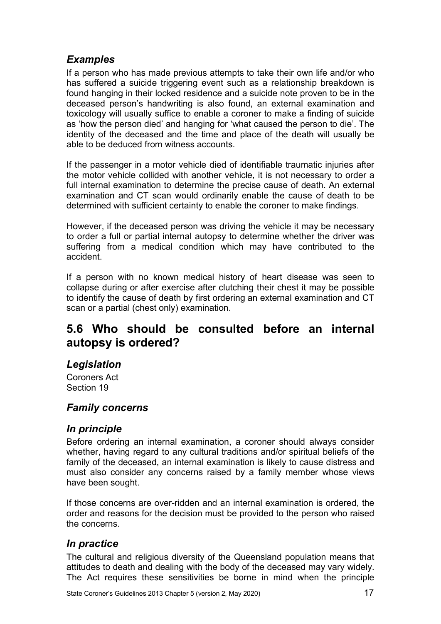## <span id="page-16-0"></span>*Examples*

If a person who has made previous attempts to take their own life and/or who has suffered a suicide triggering event such as a relationship breakdown is found hanging in their locked residence and a suicide note proven to be in the deceased person's handwriting is also found, an external examination and toxicology will usually suffice to enable a coroner to make a finding of suicide as 'how the person died' and hanging for 'what caused the person to die'. The identity of the deceased and the time and place of the death will usually be able to be deduced from witness accounts.

If the passenger in a motor vehicle died of identifiable traumatic injuries after the motor vehicle collided with another vehicle, it is not necessary to order a full internal examination to determine the precise cause of death. An external examination and CT scan would ordinarily enable the cause of death to be determined with sufficient certainty to enable the coroner to make findings.

However, if the deceased person was driving the vehicle it may be necessary to order a full or partial internal autopsy to determine whether the driver was suffering from a medical condition which may have contributed to the accident.

If a person with no known medical history of heart disease was seen to collapse during or after exercise after clutching their chest it may be possible to identify the cause of death by first ordering an external examination and CT scan or a partial (chest only) examination.

# <span id="page-16-1"></span>**5.6 Who should be consulted before an internal autopsy is ordered?**

### <span id="page-16-2"></span>*Legislation*

Coroners Act Section 19

# <span id="page-16-3"></span>*Family concerns*

### <span id="page-16-4"></span>*In principle*

Before ordering an internal examination, a coroner should always consider whether, having regard to any cultural traditions and/or spiritual beliefs of the family of the deceased, an internal examination is likely to cause distress and must also consider any concerns raised by a family member whose views have been sought.

If those concerns are over-ridden and an internal examination is ordered, the order and reasons for the decision must be provided to the person who raised the concerns.

# <span id="page-16-5"></span>*In practice*

The cultural and religious diversity of the Queensland population means that attitudes to death and dealing with the body of the deceased may vary widely. The Act requires these sensitivities be borne in mind when the principle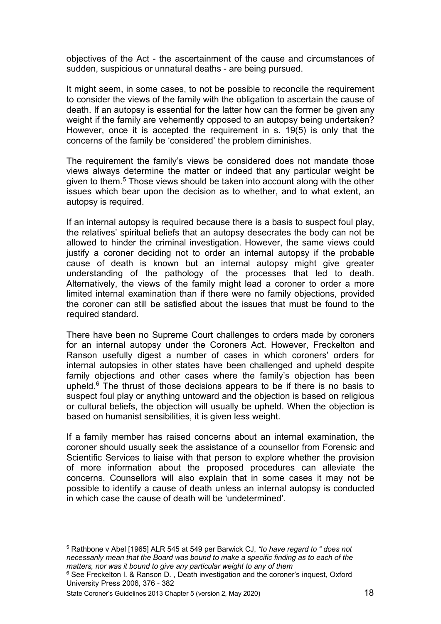objectives of the Act - the ascertainment of the cause and circumstances of sudden, suspicious or unnatural deaths - are being pursued.

It might seem, in some cases, to not be possible to reconcile the requirement to consider the views of the family with the obligation to ascertain the cause of death. If an autopsy is essential for the latter how can the former be given any weight if the family are vehemently opposed to an autopsy being undertaken? However, once it is accepted the requirement in s. 19(5) is only that the concerns of the family be 'considered' the problem diminishes.

The requirement the family's views be considered does not mandate those views always determine the matter or indeed that any particular weight be given to them.[5](#page-17-0) Those views should be taken into account along with the other issues which bear upon the decision as to whether, and to what extent, an autopsy is required.

If an internal autopsy is required because there is a basis to suspect foul play, the relatives' spiritual beliefs that an autopsy desecrates the body can not be allowed to hinder the criminal investigation. However, the same views could justify a coroner deciding not to order an internal autopsy if the probable cause of death is known but an internal autopsy might give greater understanding of the pathology of the processes that led to death. Alternatively, the views of the family might lead a coroner to order a more limited internal examination than if there were no family objections, provided the coroner can still be satisfied about the issues that must be found to the required standard.

There have been no Supreme Court challenges to orders made by coroners for an internal autopsy under the Coroners Act. However, Freckelton and Ranson usefully digest a number of cases in which coroners' orders for internal autopsies in other states have been challenged and upheld despite family objections and other cases where the family's objection has been upheld. $6$  The thrust of those decisions appears to be if there is no basis to suspect foul play or anything untoward and the objection is based on religious or cultural beliefs, the objection will usually be upheld. When the objection is based on humanist sensibilities, it is given less weight.

If a family member has raised concerns about an internal examination, the coroner should usually seek the assistance of a counsellor from Forensic and Scientific Services to liaise with that person to explore whether the provision of more information about the proposed procedures can alleviate the concerns. Counsellors will also explain that in some cases it may not be possible to identify a cause of death unless an internal autopsy is conducted in which case the cause of death will be 'undetermined'.

<span id="page-17-0"></span><sup>5</sup> Rathbone v Abel [1965] ALR 545 at 549 per Barwick CJ, *"to have regard to " does not necessarily mean that the Board was bound to make a specific finding as to each of the matters, nor was it bound to give any particular weight to any of them*

<span id="page-17-1"></span><sup>&</sup>lt;sup>6</sup> See Freckelton I. & Ranson D., Death investigation and the coroner's inquest, Oxford University Press 2006, 376 - 382

State Coroner's Guidelines 2013 Chapter 5 (version 2, May 2020) 18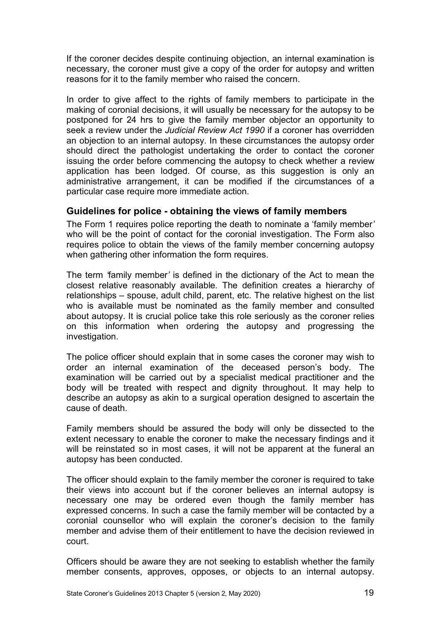If the coroner decides despite continuing objection, an internal examination is necessary, the coroner must give a copy of the order for autopsy and written reasons for it to the family member who raised the concern.

In order to give affect to the rights of family members to participate in the making of coronial decisions, it will usually be necessary for the autopsy to be postponed for 24 hrs to give the family member objector an opportunity to seek a review under the *Judicial Review Act 1990* if a coroner has overridden an objection to an internal autopsy*.* In these circumstances the autopsy order should direct the pathologist undertaking the order to contact the coroner issuing the order before commencing the autopsy to check whether a review application has been lodged. Of course, as this suggestion is only an administrative arrangement, it can be modified if the circumstances of a particular case require more immediate action.

#### <span id="page-18-0"></span>**Guidelines for police - obtaining the views of family members**

The Form 1 requires police reporting the death to nominate a 'family member*'* who will be the point of contact for the coronial investigation. The Form also requires police to obtain the views of the family member concerning autopsy when gathering other information the form requires.

The term *'*family member*'* is defined in the dictionary of the Act to mean the closest relative reasonably available*.* The definition creates a hierarchy of relationships – spouse, adult child, parent, etc. The relative highest on the list who is available must be nominated as the family member and consulted about autopsy. It is crucial police take this role seriously as the coroner relies on this information when ordering the autopsy and progressing the investigation.

The police officer should explain that in some cases the coroner may wish to order an internal examination of the deceased person's body. The examination will be carried out by a specialist medical practitioner and the body will be treated with respect and dignity throughout. It may help to describe an autopsy as akin to a surgical operation designed to ascertain the cause of death.

Family members should be assured the body will only be dissected to the extent necessary to enable the coroner to make the necessary findings and it will be reinstated so in most cases, it will not be apparent at the funeral an autopsy has been conducted.

The officer should explain to the family member the coroner is required to take their views into account but if the coroner believes an internal autopsy is necessary one may be ordered even though the family member has expressed concerns. In such a case the family member will be contacted by a coronial counsellor who will explain the coroner's decision to the family member and advise them of their entitlement to have the decision reviewed in court.

Officers should be aware they are not seeking to establish whether the family member consents, approves, opposes, or objects to an internal autopsy.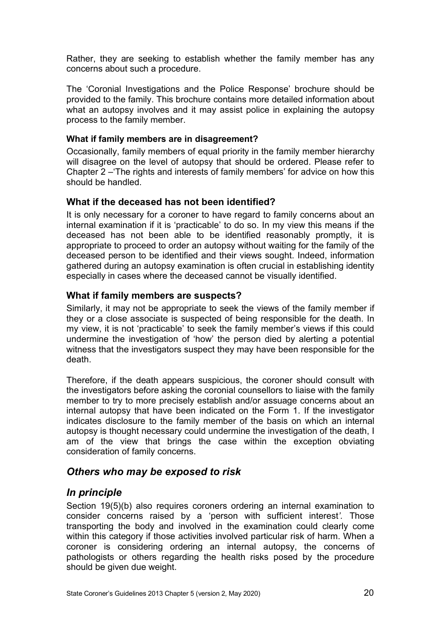Rather, they are seeking to establish whether the family member has any concerns about such a procedure.

The 'Coronial Investigations and the Police Response' brochure should be provided to the family. This brochure contains more detailed information about what an autopsy involves and it may assist police in explaining the autopsy process to the family member.

#### <span id="page-19-0"></span>**What if family members are in disagreement?**

Occasionally, family members of equal priority in the family member hierarchy will disagree on the level of autopsy that should be ordered. Please refer to Chapter 2 –'The rights and interests of family members' for advice on how this should be handled.

#### <span id="page-19-1"></span>**What if the deceased has not been identified?**

It is only necessary for a coroner to have regard to family concerns about an internal examination if it is 'practicable' to do so. In my view this means if the deceased has not been able to be identified reasonably promptly, it is appropriate to proceed to order an autopsy without waiting for the family of the deceased person to be identified and their views sought. Indeed, information gathered during an autopsy examination is often crucial in establishing identity especially in cases where the deceased cannot be visually identified.

#### <span id="page-19-2"></span>**What if family members are suspects?**

Similarly, it may not be appropriate to seek the views of the family member if they or a close associate is suspected of being responsible for the death. In my view, it is not 'practicable' to seek the family member's views if this could undermine the investigation of 'how' the person died by alerting a potential witness that the investigators suspect they may have been responsible for the death.

Therefore, if the death appears suspicious, the coroner should consult with the investigators before asking the coronial counsellors to liaise with the family member to try to more precisely establish and/or assuage concerns about an internal autopsy that have been indicated on the Form 1. If the investigator indicates disclosure to the family member of the basis on which an internal autopsy is thought necessary could undermine the investigation of the death, I am of the view that brings the case within the exception obviating consideration of family concerns.

#### <span id="page-19-3"></span>*Others who may be exposed to risk*

#### <span id="page-19-4"></span>*In principle*

Section 19(5)(b) also requires coroners ordering an internal examination to consider concerns raised by a 'person with sufficient interest*'.* Those transporting the body and involved in the examination could clearly come within this category if those activities involved particular risk of harm. When a coroner is considering ordering an internal autopsy, the concerns of pathologists or others regarding the health risks posed by the procedure should be given due weight.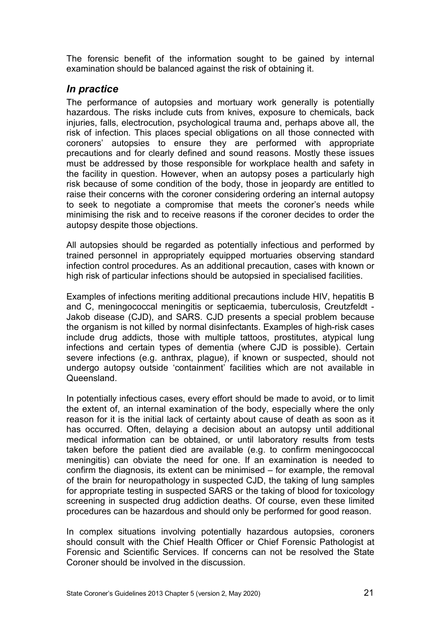The forensic benefit of the information sought to be gained by internal examination should be balanced against the risk of obtaining it.

#### <span id="page-20-0"></span>*In practice*

The performance of autopsies and mortuary work generally is potentially hazardous. The risks include cuts from knives, exposure to chemicals, back injuries, falls, electrocution, psychological trauma and, perhaps above all, the risk of infection. This places special obligations on all those connected with coroners' autopsies to ensure they are performed with appropriate precautions and for clearly defined and sound reasons. Mostly these issues must be addressed by those responsible for workplace health and safety in the facility in question. However, when an autopsy poses a particularly high risk because of some condition of the body, those in jeopardy are entitled to raise their concerns with the coroner considering ordering an internal autopsy to seek to negotiate a compromise that meets the coroner's needs while minimising the risk and to receive reasons if the coroner decides to order the autopsy despite those objections.

All autopsies should be regarded as potentially infectious and performed by trained personnel in appropriately equipped mortuaries observing standard infection control procedures. As an additional precaution, cases with known or high risk of particular infections should be autopsied in specialised facilities.

Examples of infections meriting additional precautions include HIV, hepatitis B and C, meningococcal meningitis or septicaemia, tuberculosis, Creutzfeldt - Jakob disease (CJD), and SARS. CJD presents a special problem because the organism is not killed by normal disinfectants. Examples of high-risk cases include drug addicts, those with multiple tattoos, prostitutes, atypical lung infections and certain types of dementia (where CJD is possible). Certain severe infections (e.g. anthrax, plague), if known or suspected, should not undergo autopsy outside 'containment' facilities which are not available in **Queensland** 

In potentially infectious cases, every effort should be made to avoid, or to limit the extent of, an internal examination of the body, especially where the only reason for it is the initial lack of certainty about cause of death as soon as it has occurred. Often, delaying a decision about an autopsy until additional medical information can be obtained, or until laboratory results from tests taken before the patient died are available (e.g. to confirm meningococcal meningitis) can obviate the need for one. If an examination is needed to confirm the diagnosis, its extent can be minimised – for example, the removal of the brain for neuropathology in suspected CJD, the taking of lung samples for appropriate testing in suspected SARS or the taking of blood for toxicology screening in suspected drug addiction deaths. Of course, even these limited procedures can be hazardous and should only be performed for good reason.

In complex situations involving potentially hazardous autopsies, coroners should consult with the Chief Health Officer or Chief Forensic Pathologist at Forensic and Scientific Services. If concerns can not be resolved the State Coroner should be involved in the discussion.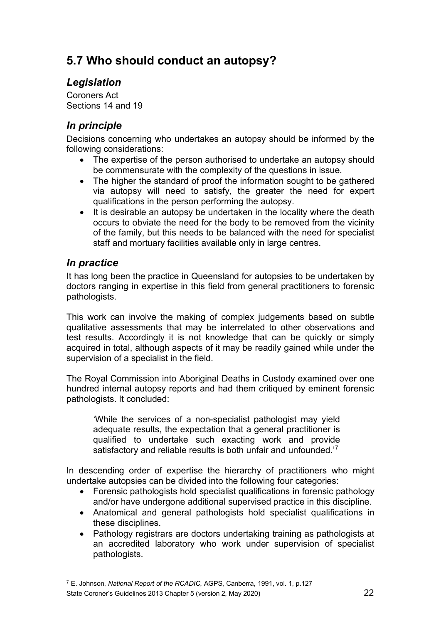# <span id="page-21-0"></span>**5.7 Who should conduct an autopsy?**

# <span id="page-21-1"></span>*Legislation*

Coroners Act Sections 14 and 19

# <span id="page-21-2"></span>*In principle*

Decisions concerning who undertakes an autopsy should be informed by the following considerations:

- The expertise of the person authorised to undertake an autopsy should be commensurate with the complexity of the questions in issue.
- The higher the standard of proof the information sought to be gathered via autopsy will need to satisfy, the greater the need for expert qualifications in the person performing the autopsy.
- It is desirable an autopsy be undertaken in the locality where the death occurs to obviate the need for the body to be removed from the vicinity of the family, but this needs to be balanced with the need for specialist staff and mortuary facilities available only in large centres.

# <span id="page-21-3"></span>*In practice*

It has long been the practice in Queensland for autopsies to be undertaken by doctors ranging in expertise in this field from general practitioners to forensic pathologists.

This work can involve the making of complex judgements based on subtle qualitative assessments that may be interrelated to other observations and test results. Accordingly it is not knowledge that can be quickly or simply acquired in total, although aspects of it may be readily gained while under the supervision of a specialist in the field.

The Royal Commission into Aboriginal Deaths in Custody examined over one hundred internal autopsy reports and had them critiqued by eminent forensic pathologists. It concluded:

*'*While the services of a non-specialist pathologist may yield adequate results, the expectation that a general practitioner is qualified to undertake such exacting work and provide satisfactory and reliable results is both unfair and unfounded.<sup>['7](#page-21-4)</sup>

In descending order of expertise the hierarchy of practitioners who might undertake autopsies can be divided into the following four categories:

- Forensic pathologists hold specialist qualifications in forensic pathology and/or have undergone additional supervised practice in this discipline.
- Anatomical and general pathologists hold specialist qualifications in these disciplines.
- Pathology registrars are doctors undertaking training as pathologists at an accredited laboratory who work under supervision of specialist pathologists.

<span id="page-21-4"></span>State Coroner's Guidelines 2013 Chapter 5 (version 2, May 2020) 22 <sup>7</sup> E. Johnson, *National Report of the RCADIC*, AGPS, Canberra, 1991, vol. 1, p.127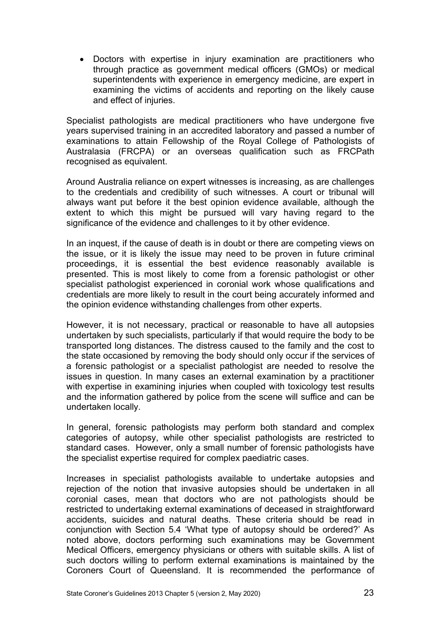• Doctors with expertise in injury examination are practitioners who through practice as government medical officers (GMOs) or medical superintendents with experience in emergency medicine, are expert in examining the victims of accidents and reporting on the likely cause and effect of injuries.

Specialist pathologists are medical practitioners who have undergone five years supervised training in an accredited laboratory and passed a number of examinations to attain Fellowship of the Royal College of Pathologists of Australasia (FRCPA) or an overseas qualification such as FRCPath recognised as equivalent.

Around Australia reliance on expert witnesses is increasing, as are challenges to the credentials and credibility of such witnesses. A court or tribunal will always want put before it the best opinion evidence available, although the extent to which this might be pursued will vary having regard to the significance of the evidence and challenges to it by other evidence.

In an inquest, if the cause of death is in doubt or there are competing views on the issue, or it is likely the issue may need to be proven in future criminal proceedings, it is essential the best evidence reasonably available is presented. This is most likely to come from a forensic pathologist or other specialist pathologist experienced in coronial work whose qualifications and credentials are more likely to result in the court being accurately informed and the opinion evidence withstanding challenges from other experts.

However, it is not necessary, practical or reasonable to have all autopsies undertaken by such specialists, particularly if that would require the body to be transported long distances. The distress caused to the family and the cost to the state occasioned by removing the body should only occur if the services of a forensic pathologist or a specialist pathologist are needed to resolve the issues in question. In many cases an external examination by a practitioner with expertise in examining injuries when coupled with toxicology test results and the information gathered by police from the scene will suffice and can be undertaken locally.

In general, forensic pathologists may perform both standard and complex categories of autopsy, while other specialist pathologists are restricted to standard cases. However, only a small number of forensic pathologists have the specialist expertise required for complex paediatric cases.

Increases in specialist pathologists available to undertake autopsies and rejection of the notion that invasive autopsies should be undertaken in all coronial cases, mean that doctors who are not pathologists should be restricted to undertaking external examinations of deceased in straightforward accidents, suicides and natural deaths. These criteria should be read in conjunction with Section 5.4 'What type of autopsy should be ordered?' As noted above, doctors performing such examinations may be Government Medical Officers, emergency physicians or others with suitable skills. A list of such doctors willing to perform external examinations is maintained by the Coroners Court of Queensland. It is recommended the performance of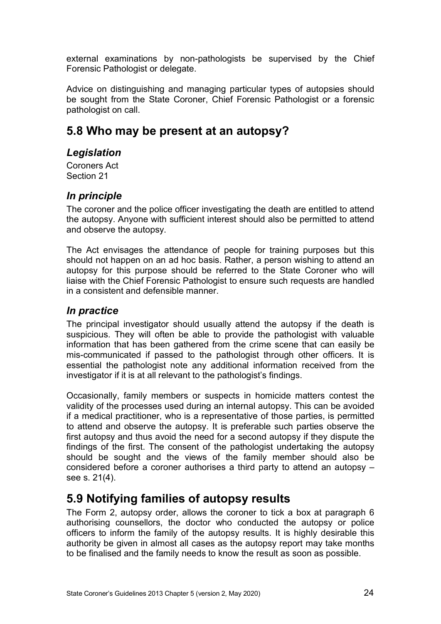external examinations by non-pathologists be supervised by the Chief Forensic Pathologist or delegate.

Advice on distinguishing and managing particular types of autopsies should be sought from the State Coroner, Chief Forensic Pathologist or a forensic pathologist on call.

# <span id="page-23-0"></span>**5.8 Who may be present at an autopsy?**

### <span id="page-23-1"></span>*Legislation*

Coroners Act Section 21

# <span id="page-23-2"></span>*In principle*

The coroner and the police officer investigating the death are entitled to attend the autopsy. Anyone with sufficient interest should also be permitted to attend and observe the autopsy.

The Act envisages the attendance of people for training purposes but this should not happen on an ad hoc basis. Rather, a person wishing to attend an autopsy for this purpose should be referred to the State Coroner who will liaise with the Chief Forensic Pathologist to ensure such requests are handled in a consistent and defensible manner.

### <span id="page-23-3"></span>*In practice*

The principal investigator should usually attend the autopsy if the death is suspicious. They will often be able to provide the pathologist with valuable information that has been gathered from the crime scene that can easily be mis-communicated if passed to the pathologist through other officers. It is essential the pathologist note any additional information received from the investigator if it is at all relevant to the pathologist's findings.

Occasionally, family members or suspects in homicide matters contest the validity of the processes used during an internal autopsy. This can be avoided if a medical practitioner, who is a representative of those parties, is permitted to attend and observe the autopsy. It is preferable such parties observe the first autopsy and thus avoid the need for a second autopsy if they dispute the findings of the first. The consent of the pathologist undertaking the autopsy should be sought and the views of the family member should also be considered before a coroner authorises a third party to attend an autopsy – see s. 21(4).

# <span id="page-23-4"></span>**5.9 Notifying families of autopsy results**

The Form 2, autopsy order, allows the coroner to tick a box at paragraph 6 authorising counsellors, the doctor who conducted the autopsy or police officers to inform the family of the autopsy results. It is highly desirable this authority be given in almost all cases as the autopsy report may take months to be finalised and the family needs to know the result as soon as possible.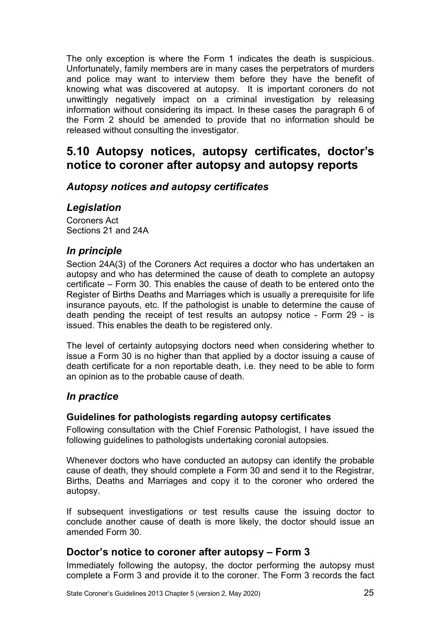The only exception is where the Form 1 indicates the death is suspicious. Unfortunately, family members are in many cases the perpetrators of murders and police may want to interview them before they have the benefit of knowing what was discovered at autopsy. It is important coroners do not unwittingly negatively impact on a criminal investigation by releasing information without considering its impact. In these cases the paragraph 6 of the Form 2 should be amended to provide that no information should be released without consulting the investigator.

# <span id="page-24-0"></span>**5.10 Autopsy notices, autopsy certificates, doctor's notice to coroner after autopsy and autopsy reports**

### <span id="page-24-1"></span>*Autopsy notices and autopsy certificates*

#### <span id="page-24-2"></span>*Legislation*

Coroners Act Sections 21 and 24A

#### <span id="page-24-3"></span>*In principle*

Section 24A(3) of the Coroners Act requires a doctor who has undertaken an autopsy and who has determined the cause of death to complete an autopsy certificate – Form 30. This enables the cause of death to be entered onto the Register of Births Deaths and Marriages which is usually a prerequisite for life insurance payouts, etc. If the pathologist is unable to determine the cause of death pending the receipt of test results an autopsy notice - Form 29 - is issued. This enables the death to be registered only.

The level of certainty autopsying doctors need when considering whether to issue a Form 30 is no higher than that applied by a doctor issuing a cause of death certificate for a non reportable death, i.e. they need to be able to form an opinion as to the probable cause of death.

#### <span id="page-24-4"></span>*In practice*

#### <span id="page-24-5"></span>**Guidelines for pathologists regarding autopsy certificates**

Following consultation with the Chief Forensic Pathologist, I have issued the following guidelines to pathologists undertaking coronial autopsies.

Whenever doctors who have conducted an autopsy can identify the probable cause of death, they should complete a Form 30 and send it to the Registrar, Births, Deaths and Marriages and copy it to the coroner who ordered the autopsy.

If subsequent investigations or test results cause the issuing doctor to conclude another cause of death is more likely, the doctor should issue an amended Form 30.

### <span id="page-24-6"></span>**Doctor's notice to coroner after autopsy – Form 3**

Immediately following the autopsy, the doctor performing the autopsy must complete a Form 3 and provide it to the coroner. The Form 3 records the fact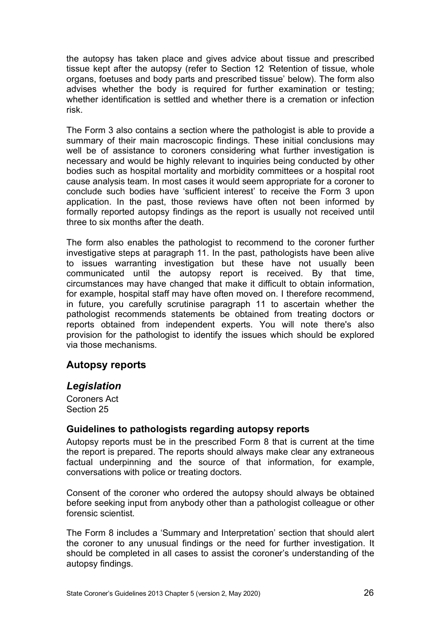the autopsy has taken place and gives advice about tissue and prescribed tissue kept after the autopsy (refer to Section 12 *'*Retention of tissue, whole organs, foetuses and body parts and prescribed tissue' below). The form also advises whether the body is required for further examination or testing; whether identification is settled and whether there is a cremation or infection risk.

The Form 3 also contains a section where the pathologist is able to provide a summary of their main macroscopic findings. These initial conclusions may well be of assistance to coroners considering what further investigation is necessary and would be highly relevant to inquiries being conducted by other bodies such as hospital mortality and morbidity committees or a hospital root cause analysis team. In most cases it would seem appropriate for a coroner to conclude such bodies have 'sufficient interest' to receive the Form 3 upon application. In the past, those reviews have often not been informed by formally reported autopsy findings as the report is usually not received until three to six months after the death.

The form also enables the pathologist to recommend to the coroner further investigative steps at paragraph 11. In the past, pathologists have been alive to issues warranting investigation but these have not usually been communicated until the autopsy report is received. By that time, circumstances may have changed that make it difficult to obtain information, for example, hospital staff may have often moved on. I therefore recommend, in future, you carefully scrutinise paragraph 11 to ascertain whether the pathologist recommends statements be obtained from treating doctors or reports obtained from independent experts. You will note there's also provision for the pathologist to identify the issues which should be explored via those mechanisms.

### <span id="page-25-0"></span>**Autopsy reports**

#### <span id="page-25-1"></span>*Legislation*

Coroners Act Section 25

#### <span id="page-25-2"></span>**Guidelines to pathologists regarding autopsy reports**

Autopsy reports must be in the prescribed Form 8 that is current at the time the report is prepared. The reports should always make clear any extraneous factual underpinning and the source of that information, for example, conversations with police or treating doctors.

Consent of the coroner who ordered the autopsy should always be obtained before seeking input from anybody other than a pathologist colleague or other forensic scientist.

The Form 8 includes a 'Summary and Interpretation' section that should alert the coroner to any unusual findings or the need for further investigation. It should be completed in all cases to assist the coroner's understanding of the autopsy findings.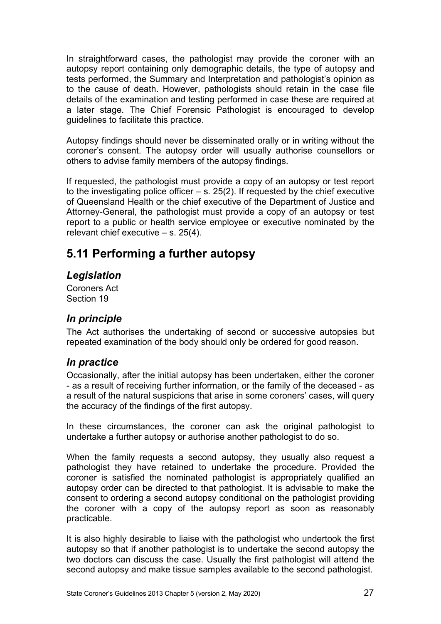In straightforward cases, the pathologist may provide the coroner with an autopsy report containing only demographic details, the type of autopsy and tests performed, the Summary and Interpretation and pathologist's opinion as to the cause of death. However, pathologists should retain in the case file details of the examination and testing performed in case these are required at a later stage. The Chief Forensic Pathologist is encouraged to develop guidelines to facilitate this practice.

Autopsy findings should never be disseminated orally or in writing without the coroner's consent. The autopsy order will usually authorise counsellors or others to advise family members of the autopsy findings.

If requested, the pathologist must provide a copy of an autopsy or test report to the investigating police officer  $-$  s. 25(2). If requested by the chief executive of Queensland Health or the chief executive of the Department of Justice and Attorney-General, the pathologist must provide a copy of an autopsy or test report to a public or health service employee or executive nominated by the relevant chief executive – s. 25(4).

# <span id="page-26-0"></span>**5.11 Performing a further autopsy**

### <span id="page-26-1"></span>*Legislation*

Coroners Act Section 19

# <span id="page-26-2"></span>*In principle*

The Act authorises the undertaking of second or successive autopsies but repeated examination of the body should only be ordered for good reason.

# <span id="page-26-3"></span>*In practice*

Occasionally, after the initial autopsy has been undertaken, either the coroner - as a result of receiving further information, or the family of the deceased - as a result of the natural suspicions that arise in some coroners' cases, will query the accuracy of the findings of the first autopsy.

In these circumstances, the coroner can ask the original pathologist to undertake a further autopsy or authorise another pathologist to do so.

When the family requests a second autopsy, they usually also request a pathologist they have retained to undertake the procedure. Provided the coroner is satisfied the nominated pathologist is appropriately qualified an autopsy order can be directed to that pathologist. It is advisable to make the consent to ordering a second autopsy conditional on the pathologist providing the coroner with a copy of the autopsy report as soon as reasonably practicable.

It is also highly desirable to liaise with the pathologist who undertook the first autopsy so that if another pathologist is to undertake the second autopsy the two doctors can discuss the case. Usually the first pathologist will attend the second autopsy and make tissue samples available to the second pathologist.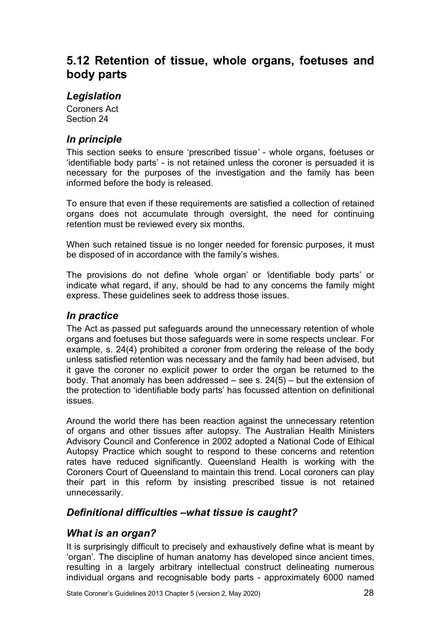# <span id="page-27-0"></span>**5.12 Retention of tissue, whole organs, foetuses and body parts**

### <span id="page-27-1"></span>*Legislation*

Coroners Act Section 24

### <span id="page-27-2"></span>*In principle*

This section seeks to ensure 'prescribed tissu*e'* - whole organs, foetuses or 'identifiable body parts' - is not retained unless the coroner is persuaded it is necessary for the purposes of the investigation and the family has been informed before the body is released.

To ensure that even if these requirements are satisfied a collection of retained organs does not accumulate through oversight, the need for continuing retention must be reviewed every six months.

When such retained tissue is no longer needed for forensic purposes, it must be disposed of in accordance with the family's wishes.

The provisions do not define *'*whole organ' or *'*identifiable body parts' or indicate what regard, if any, should be had to any concerns the family might express. These guidelines seek to address those issues.

### <span id="page-27-3"></span>*In practice*

The Act as passed put safeguards around the unnecessary retention of whole organs and foetuses but those safeguards were in some respects unclear. For example, s. 24(4) prohibited a coroner from ordering the release of the body unless satisfied retention was necessary and the family had been advised, but it gave the coroner no explicit power to order the organ be returned to the body. That anomaly has been addressed – see s. 24(5) – but the extension of the protection to 'identifiable body parts' has focussed attention on definitional issues.

Around the world there has been reaction against the unnecessary retention of organs and other tissues after autopsy. The Australian Health Ministers Advisory Council and Conference in 2002 adopted a National Code of Ethical Autopsy Practice which sought to respond to these concerns and retention rates have reduced significantly. Queensland Health is working with the Coroners Court of Queensland to maintain this trend. Local coroners can play their part in this reform by insisting prescribed tissue is not retained unnecessarily.

### <span id="page-27-4"></span>*Definitional difficulties –what tissue is caught?*

### <span id="page-27-5"></span>*What is an organ?*

It is surprisingly difficult to precisely and exhaustively define what is meant by 'organ'*.* The discipline of human anatomy has developed since ancient times, resulting in a largely arbitrary intellectual construct delineating numerous individual organs and recognisable body parts - approximately 6000 named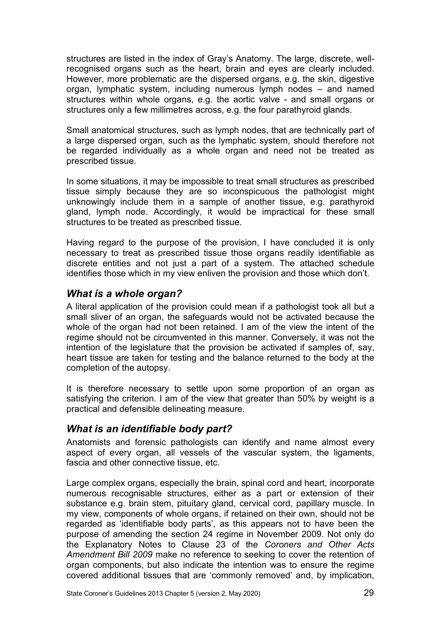structures are listed in the index of Gray's Anatomy. The large, discrete, wellrecognised organs such as the heart, brain and eyes are clearly included. However, more problematic are the dispersed organs, e.g. the skin, digestive organ, lymphatic system, including numerous lymph nodes – and named structures within whole organs, e.g. the aortic valve - and small organs or structures only a few millimetres across, e.g. the four parathyroid glands.

Small anatomical structures, such as lymph nodes, that are technically part of a large dispersed organ, such as the lymphatic system, should therefore not be regarded individually as a whole organ and need not be treated as prescribed tissue.

In some situations, it may be impossible to treat small structures as prescribed tissue simply because they are so inconspicuous the pathologist might unknowingly include them in a sample of another tissue, e.g. parathyroid gland, lymph node. Accordingly, it would be impractical for these small structures to be treated as prescribed tissue.

Having regard to the purpose of the provision, I have concluded it is only necessary to treat as prescribed tissue those organs readily identifiable as discrete entities and not just a part of a system. The attached schedule identifies those which in my view enliven the provision and those which don't.

### <span id="page-28-0"></span>*What is a whole organ?*

A literal application of the provision could mean if a pathologist took all but a small sliver of an organ, the safeguards would not be activated because the whole of the organ had not been retained. I am of the view the intent of the regime should not be circumvented in this manner. Conversely, it was not the intention of the legislature that the provision be activated if samples of, say, heart tissue are taken for testing and the balance returned to the body at the completion of the autopsy.

It is therefore necessary to settle upon some proportion of an organ as satisfying the criterion. I am of the view that greater than 50% by weight is a practical and defensible delineating measure.

# <span id="page-28-1"></span>*What is an identifiable body part?*

Anatomists and forensic pathologists can identify and name almost every aspect of every organ, all vessels of the vascular system, the ligaments, fascia and other connective tissue, etc.

Large complex organs, especially the brain, spinal cord and heart, incorporate numerous recognisable structures, either as a part or extension of their substance e.g. brain stem, pituitary gland, cervical cord, papillary muscle. In my view, components of whole organs, if retained on their own, should not be regarded as 'identifiable body parts', as this appears not to have been the purpose of amending the section 24 regime in November 2009. Not only do the Explanatory Notes to Clause 23 of the *Coroners and Other Acts Amendment Bill 2009* make no reference to seeking to cover the retention of organ components, but also indicate the intention was to ensure the regime covered additional tissues that are 'commonly removed' and, by implication,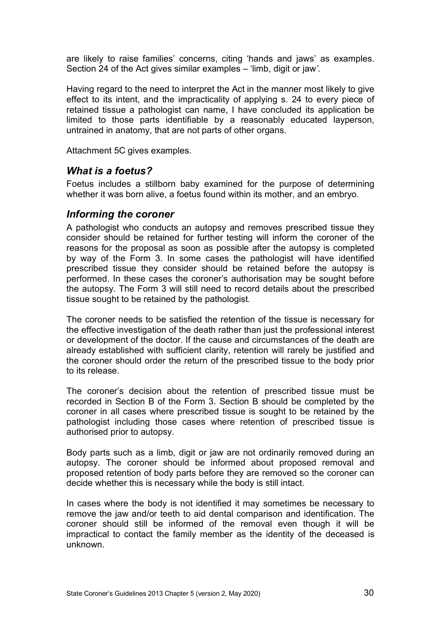are likely to raise families' concerns, citing 'hands and jaws' as examples. Section 24 of the Act gives similar examples – 'limb, digit or jaw*'*.

Having regard to the need to interpret the Act in the manner most likely to give effect to its intent, and the impracticality of applying s. 24 to every piece of retained tissue a pathologist can name, I have concluded its application be limited to those parts identifiable by a reasonably educated layperson, untrained in anatomy, that are not parts of other organs.

<span id="page-29-0"></span>Attachment 5C gives examples.

#### *What is a foetus?*

Foetus includes a stillborn baby examined for the purpose of determining whether it was born alive, a foetus found within its mother, and an embryo.

#### <span id="page-29-1"></span>*Informing the coroner*

A pathologist who conducts an autopsy and removes prescribed tissue they consider should be retained for further testing will inform the coroner of the reasons for the proposal as soon as possible after the autopsy is completed by way of the Form 3. In some cases the pathologist will have identified prescribed tissue they consider should be retained before the autopsy is performed. In these cases the coroner's authorisation may be sought before the autopsy. The Form 3 will still need to record details about the prescribed tissue sought to be retained by the pathologist.

The coroner needs to be satisfied the retention of the tissue is necessary for the effective investigation of the death rather than just the professional interest or development of the doctor. If the cause and circumstances of the death are already established with sufficient clarity, retention will rarely be justified and the coroner should order the return of the prescribed tissue to the body prior to its release.

The coroner's decision about the retention of prescribed tissue must be recorded in Section B of the Form 3. Section B should be completed by the coroner in all cases where prescribed tissue is sought to be retained by the pathologist including those cases where retention of prescribed tissue is authorised prior to autopsy.

Body parts such as a limb, digit or jaw are not ordinarily removed during an autopsy. The coroner should be informed about proposed removal and proposed retention of body parts before they are removed so the coroner can decide whether this is necessary while the body is still intact.

In cases where the body is not identified it may sometimes be necessary to remove the jaw and/or teeth to aid dental comparison and identification. The coroner should still be informed of the removal even though it will be impractical to contact the family member as the identity of the deceased is unknown.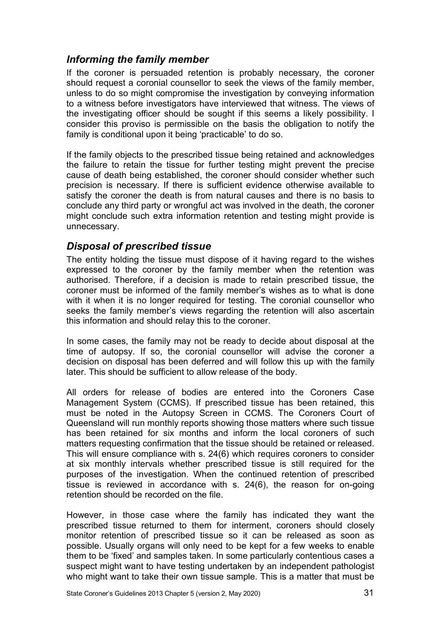### <span id="page-30-0"></span>*Informing the family member*

If the coroner is persuaded retention is probably necessary, the coroner should request a coronial counsellor to seek the views of the family member, unless to do so might compromise the investigation by conveying information to a witness before investigators have interviewed that witness. The views of the investigating officer should be sought if this seems a likely possibility. I consider this proviso is permissible on the basis the obligation to notify the family is conditional upon it being 'practicable' to do so.

If the family objects to the prescribed tissue being retained and acknowledges the failure to retain the tissue for further testing might prevent the precise cause of death being established, the coroner should consider whether such precision is necessary. If there is sufficient evidence otherwise available to satisfy the coroner the death is from natural causes and there is no basis to conclude any third party or wrongful act was involved in the death, the coroner might conclude such extra information retention and testing might provide is unnecessary.

### <span id="page-30-1"></span>*Disposal of prescribed tissue*

The entity holding the tissue must dispose of it having regard to the wishes expressed to the coroner by the family member when the retention was authorised. Therefore, if a decision is made to retain prescribed tissue, the coroner must be informed of the family member's wishes as to what is done with it when it is no longer required for testing. The coronial counsellor who seeks the family member's views regarding the retention will also ascertain this information and should relay this to the coroner.

In some cases, the family may not be ready to decide about disposal at the time of autopsy. If so, the coronial counsellor will advise the coroner a decision on disposal has been deferred and will follow this up with the family later. This should be sufficient to allow release of the body.

All orders for release of bodies are entered into the Coroners Case Management System (CCMS). If prescribed tissue has been retained, this must be noted in the Autopsy Screen in CCMS. The Coroners Court of Queensland will run monthly reports showing those matters where such tissue has been retained for six months and inform the local coroners of such matters requesting confirmation that the tissue should be retained or released. This will ensure compliance with s. 24(6) which requires coroners to consider at six monthly intervals whether prescribed tissue is still required for the purposes of the investigation. When the continued retention of prescribed tissue is reviewed in accordance with s. 24(6), the reason for on-going retention should be recorded on the file.

However, in those case where the family has indicated they want the prescribed tissue returned to them for interment, coroners should closely monitor retention of prescribed tissue so it can be released as soon as possible. Usually organs will only need to be kept for a few weeks to enable them to be 'fixed' and samples taken. In some particularly contentious cases a suspect might want to have testing undertaken by an independent pathologist who might want to take their own tissue sample. This is a matter that must be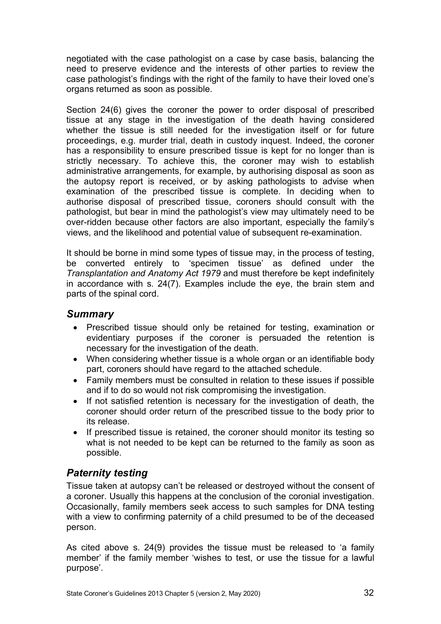negotiated with the case pathologist on a case by case basis, balancing the need to preserve evidence and the interests of other parties to review the case pathologist's findings with the right of the family to have their loved one's organs returned as soon as possible.

Section 24(6) gives the coroner the power to order disposal of prescribed tissue at any stage in the investigation of the death having considered whether the tissue is still needed for the investigation itself or for future proceedings, e.g. murder trial, death in custody inquest. Indeed, the coroner has a responsibility to ensure prescribed tissue is kept for no longer than is strictly necessary. To achieve this, the coroner may wish to establish administrative arrangements, for example, by authorising disposal as soon as the autopsy report is received, or by asking pathologists to advise when examination of the prescribed tissue is complete. In deciding when to authorise disposal of prescribed tissue, coroners should consult with the pathologist, but bear in mind the pathologist's view may ultimately need to be over-ridden because other factors are also important, especially the family's views, and the likelihood and potential value of subsequent re-examination.

It should be borne in mind some types of tissue may, in the process of testing, be converted entirely to 'specimen tissue' as defined under the *Transplantation and Anatomy Act 1979* and must therefore be kept indefinitely in accordance with s. 24(7). Examples include the eye, the brain stem and parts of the spinal cord.

#### <span id="page-31-0"></span>*Summary*

- Prescribed tissue should only be retained for testing, examination or evidentiary purposes if the coroner is persuaded the retention is necessary for the investigation of the death.
- When considering whether tissue is a whole organ or an identifiable body part, coroners should have regard to the attached schedule.
- Family members must be consulted in relation to these issues if possible and if to do so would not risk compromising the investigation.
- If not satisfied retention is necessary for the investigation of death, the coroner should order return of the prescribed tissue to the body prior to its release.
- If prescribed tissue is retained, the coroner should monitor its testing so what is not needed to be kept can be returned to the family as soon as possible.

# <span id="page-31-1"></span>*Paternity testing*

Tissue taken at autopsy can't be released or destroyed without the consent of a coroner. Usually this happens at the conclusion of the coronial investigation. Occasionally, family members seek access to such samples for DNA testing with a view to confirming paternity of a child presumed to be of the deceased person.

As cited above s. 24(9) provides the tissue must be released to 'a family member' if the family member 'wishes to test, or use the tissue for a lawful purpose'.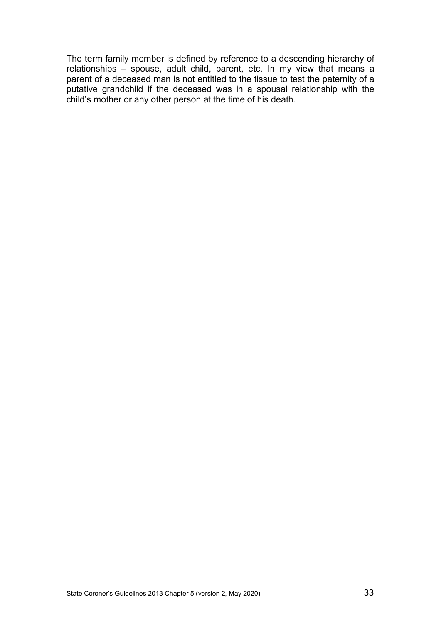The term family member is defined by reference to a descending hierarchy of relationships – spouse, adult child, parent, etc. In my view that means a parent of a deceased man is not entitled to the tissue to test the paternity of a putative grandchild if the deceased was in a spousal relationship with the child's mother or any other person at the time of his death.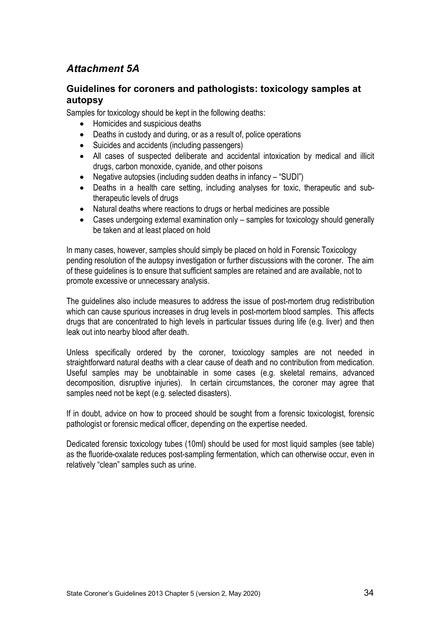# <span id="page-33-0"></span>*Attachment 5A*

#### <span id="page-33-1"></span>**Guidelines for coroners and pathologists: toxicology samples at autopsy**

Samples for toxicology should be kept in the following deaths:

- Homicides and suspicious deaths
- Deaths in custody and during, or as a result of, police operations
- Suicides and accidents (including passengers)
- All cases of suspected deliberate and accidental intoxication by medical and illicit drugs, carbon monoxide, cyanide, and other poisons
- Negative autopsies (including sudden deaths in infancy "SUDI")
- Deaths in a health care setting, including analyses for toxic, therapeutic and subtherapeutic levels of drugs
- Natural deaths where reactions to drugs or herbal medicines are possible
- Cases undergoing external examination only samples for toxicology should generally be taken and at least placed on hold

In many cases, however, samples should simply be placed on hold in Forensic Toxicology pending resolution of the autopsy investigation or further discussions with the coroner. The aim of these guidelines is to ensure that sufficient samples are retained and are available, not to promote excessive or unnecessary analysis.

The guidelines also include measures to address the issue of post-mortem drug redistribution which can cause spurious increases in drug levels in post-mortem blood samples. This affects drugs that are concentrated to high levels in particular tissues during life (e.g. liver) and then leak out into nearby blood after death.

Unless specifically ordered by the coroner, toxicology samples are not needed in straightforward natural deaths with a clear cause of death and no contribution from medication. Useful samples may be unobtainable in some cases (e.g. skeletal remains, advanced decomposition, disruptive injuries). In certain circumstances, the coroner may agree that samples need not be kept (e.g. selected disasters).

If in doubt, advice on how to proceed should be sought from a forensic toxicologist, forensic pathologist or forensic medical officer, depending on the expertise needed.

Dedicated forensic toxicology tubes (10ml) should be used for most liquid samples (see table) as the fluoride-oxalate reduces post-sampling fermentation, which can otherwise occur, even in relatively "clean" samples such as urine.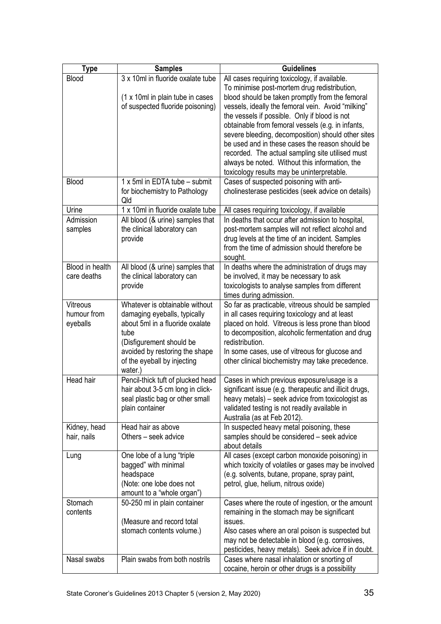| <b>Type</b>      | <b>Samples</b>                         | <b>Guidelines</b>                                                                                    |
|------------------|----------------------------------------|------------------------------------------------------------------------------------------------------|
| Blood            | 3 x 10ml in fluoride oxalate tube      | All cases requiring toxicology, if available.                                                        |
|                  |                                        | To minimise post-mortem drug redistribution,                                                         |
|                  | (1 x 10ml in plain tube in cases       | blood should be taken promptly from the femoral                                                      |
|                  | of suspected fluoride poisoning)       | vessels, ideally the femoral vein. Avoid "milking"                                                   |
|                  |                                        | the vessels if possible. Only if blood is not                                                        |
|                  |                                        | obtainable from femoral vessels (e.g. in infants,                                                    |
|                  |                                        | severe bleeding, decomposition) should other sites                                                   |
|                  |                                        | be used and in these cases the reason should be                                                      |
|                  |                                        | recorded. The actual sampling site utilised must                                                     |
|                  |                                        | always be noted. Without this information, the                                                       |
| Blood            | 1 x 5ml in EDTA tube - submit          | toxicology results may be uninterpretable.                                                           |
|                  |                                        | Cases of suspected poisoning with anti-                                                              |
|                  | for biochemistry to Pathology<br>Qld   | cholinesterase pesticides (seek advice on details)                                                   |
| Urine            | 1 x 10ml in fluoride oxalate tube      | All cases requiring toxicology, if available                                                         |
| Admission        | All blood (& urine) samples that       | In deaths that occur after admission to hospital,                                                    |
| samples          | the clinical laboratory can            | post-mortem samples will not reflect alcohol and                                                     |
|                  | provide                                | drug levels at the time of an incident. Samples                                                      |
|                  |                                        | from the time of admission should therefore be                                                       |
|                  |                                        | sought.                                                                                              |
| Blood in health  | All blood (& urine) samples that       | In deaths where the administration of drugs may                                                      |
| care deaths      | the clinical laboratory can            | be involved, it may be necessary to ask                                                              |
|                  | provide                                | toxicologists to analyse samples from different                                                      |
|                  |                                        | times during admission.                                                                              |
| Vitreous         | Whatever is obtainable without         | So far as practicable, vitreous should be sampled                                                    |
| humour from      | damaging eyeballs, typically           | in all cases requiring toxicology and at least                                                       |
| eyeballs         | about 5ml in a fluoride oxalate        | placed on hold. Vitreous is less prone than blood                                                    |
|                  | tube                                   | to decomposition, alcoholic fermentation and drug                                                    |
|                  | (Disfigurement should be               | redistribution.                                                                                      |
|                  | avoided by restoring the shape         | In some cases, use of vitreous for glucose and<br>other clinical biochemistry may take precedence.   |
|                  | of the eyeball by injecting<br>water.) |                                                                                                      |
| <b>Head hair</b> | Pencil-thick tuft of plucked head      | Cases in which previous exposure/usage is a                                                          |
|                  | hair about 3-5 cm long in click-       | significant issue (e.g. therapeutic and illicit drugs,                                               |
|                  | seal plastic bag or other small        | heavy metals) - seek advice from toxicologist as                                                     |
|                  | plain container                        | validated testing is not readily available in                                                        |
|                  |                                        | Australia (as at Feb 2012).                                                                          |
| Kidney, head     | Head hair as above                     | In suspected heavy metal poisoning, these                                                            |
| hair, nails      | Others - seek advice                   | samples should be considered - seek advice                                                           |
|                  |                                        | about details                                                                                        |
| Lung             | One lobe of a lung "triple"            | All cases (except carbon monoxide poisoning) in                                                      |
|                  | bagged" with minimal                   | which toxicity of volatiles or gases may be involved                                                 |
|                  | headspace                              | (e.g. solvents, butane, propane, spray paint,                                                        |
|                  | (Note: one lobe does not               | petrol, glue, helium, nitrous oxide)                                                                 |
|                  | amount to a "whole organ")             |                                                                                                      |
| Stomach          | 50-250 ml in plain container           | Cases where the route of ingestion, or the amount                                                    |
| contents         |                                        | remaining in the stomach may be significant                                                          |
|                  | (Measure and record total              | issues.                                                                                              |
|                  | stomach contents volume.)              | Also cases where an oral poison is suspected but<br>may not be detectable in blood (e.g. corrosives, |
|                  |                                        | pesticides, heavy metals). Seek advice if in doubt.                                                  |
| Nasal swabs      | Plain swabs from both nostrils         | Cases where nasal inhalation or snorting of                                                          |
|                  |                                        | cocaine, heroin or other drugs is a possibility                                                      |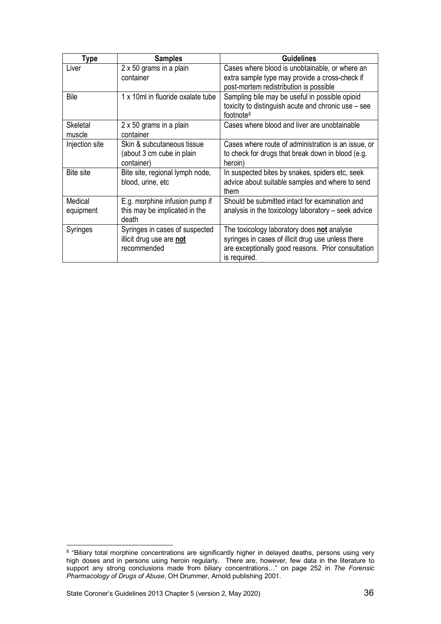| Type             | <b>Samples</b>                    | <b>Guidelines</b>                                                            |
|------------------|-----------------------------------|------------------------------------------------------------------------------|
| Liver            | 2 x 50 grams in a plain           | Cases where blood is unobtainable, or where an                               |
|                  | container                         | extra sample type may provide a cross-check if                               |
|                  |                                   | post-mortem redistribution is possible                                       |
| Bile             | 1 x 10ml in fluoride oxalate tube | Sampling bile may be useful in possible opioid                               |
|                  |                                   | toxicity to distinguish acute and chronic use - see<br>footnote <sup>8</sup> |
| Skeletal         | 2 x 50 grams in a plain           | Cases where blood and liver are unobtainable                                 |
| muscle           | container                         |                                                                              |
| Injection site   | Skin & subcutaneous tissue        | Cases where route of administration is an issue, or                          |
|                  | (about 3 cm cube in plain         | to check for drugs that break down in blood (e.g.                            |
|                  | container)                        | heroin)                                                                      |
| <b>Bite site</b> | Bite site, regional lymph node,   | In suspected bites by snakes, spiders etc, seek                              |
|                  | blood, urine, etc                 | advice about suitable samples and where to send                              |
|                  |                                   | them                                                                         |
| Medical          | E.g. morphine infusion pump if    | Should be submitted intact for examination and                               |
| equipment        | this may be implicated in the     | analysis in the toxicology laboratory – seek advice                          |
|                  | death                             |                                                                              |
| Syringes         | Syringes in cases of suspected    | The toxicology laboratory does not analyse                                   |
|                  | illicit drug use are not          | syringes in cases of illicit drug use unless there                           |
|                  | recommended                       | are exceptionally good reasons. Prior consultation                           |
|                  |                                   | is required.                                                                 |

<span id="page-35-0"></span><sup>8</sup> "Biliary total morphine concentrations are significantly higher in delayed deaths, persons using very high doses and in persons using heroin regularly. There are, however, few data in the literature to support any strong conclusions made from biliary concentrations…" on page 252 in *The Forensic Pharmacology of Drugs of Abuse*, OH Drummer, Arnold publishing 2001.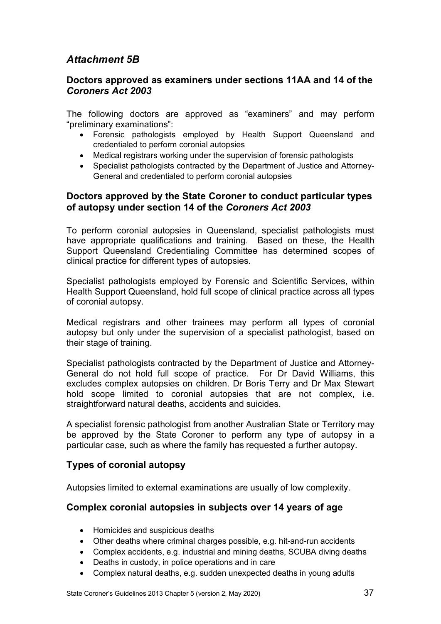## <span id="page-36-0"></span>*Attachment 5B*

#### <span id="page-36-1"></span>**Doctors approved as examiners under sections 11AA and 14 of the**  *Coroners Act 2003*

The following doctors are approved as "examiners" and may perform "preliminary examinations":

- Forensic pathologists employed by Health Support Queensland and credentialed to perform coronial autopsies
- Medical registrars working under the supervision of forensic pathologists
- Specialist pathologists contracted by the Department of Justice and Attorney-General and credentialed to perform coronial autopsies

#### <span id="page-36-2"></span>**Doctors approved by the State Coroner to conduct particular types of autopsy under section 14 of the** *Coroners Act 2003*

To perform coronial autopsies in Queensland, specialist pathologists must have appropriate qualifications and training. Based on these, the Health Support Queensland Credentialing Committee has determined scopes of clinical practice for different types of autopsies.

Specialist pathologists employed by Forensic and Scientific Services, within Health Support Queensland, hold full scope of clinical practice across all types of coronial autopsy.

Medical registrars and other trainees may perform all types of coronial autopsy but only under the supervision of a specialist pathologist, based on their stage of training.

Specialist pathologists contracted by the Department of Justice and Attorney-General do not hold full scope of practice. For Dr David Williams, this excludes complex autopsies on children. Dr Boris Terry and Dr Max Stewart hold scope limited to coronial autopsies that are not complex, i.e. straightforward natural deaths, accidents and suicides.

A specialist forensic pathologist from another Australian State or Territory may be approved by the State Coroner to perform any type of autopsy in a particular case, such as where the family has requested a further autopsy.

#### <span id="page-36-3"></span>**Types of coronial autopsy**

<span id="page-36-4"></span>Autopsies limited to external examinations are usually of low complexity.

#### **Complex coronial autopsies in subjects over 14 years of age**

- Homicides and suspicious deaths
- Other deaths where criminal charges possible, e.g. hit-and-run accidents
- Complex accidents, e.g. industrial and mining deaths, SCUBA diving deaths
- Deaths in custody, in police operations and in care
- Complex natural deaths, e.g. sudden unexpected deaths in young adults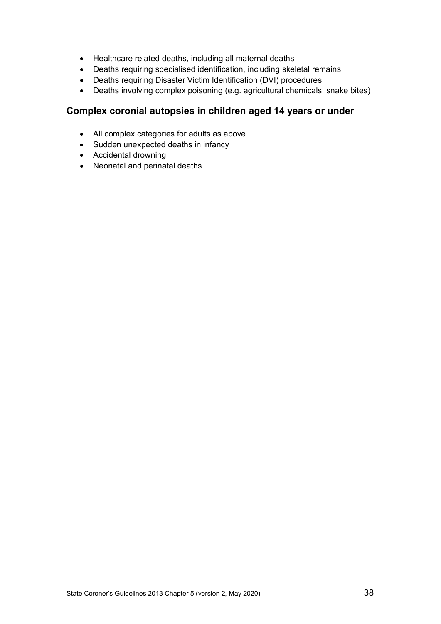- Healthcare related deaths, including all maternal deaths
- Deaths requiring specialised identification, including skeletal remains
- Deaths requiring Disaster Victim Identification (DVI) procedures
- Deaths involving complex poisoning (e.g. agricultural chemicals, snake bites)

#### <span id="page-37-0"></span>**Complex coronial autopsies in children aged 14 years or under**

- All complex categories for adults as above
- Sudden unexpected deaths in infancy
- Accidental drowning
- Neonatal and perinatal deaths